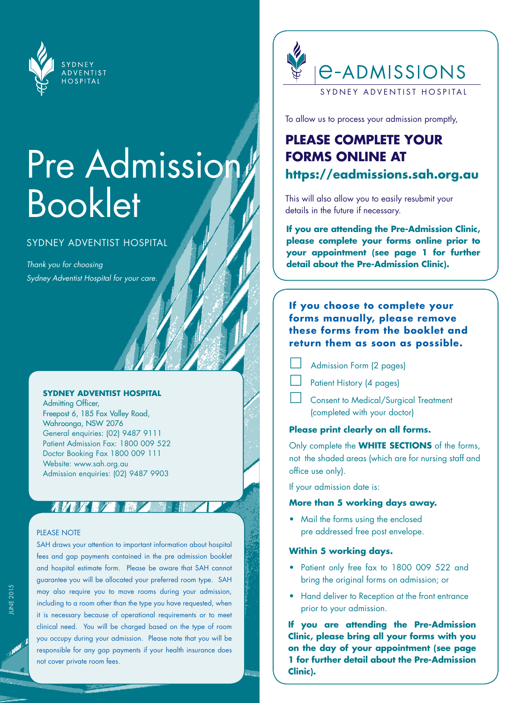

# Pre Admission Booklet

### SYDNEY ADVENTIST HOSPITAL

*Thank you for choosing Sydney Adventist Hospital for your care.*

### **SYDNEY ADVENTIST HOSPITAL**

Admitting Officer, Freepost 6, 185 Fox Valley Road, Wahroonga, NSW 2076 General enquiries: (02) 9487 9111 Patient Admission Fax: 1800 009 522 Doctor Booking Fax 1800 009 111 Website: www.sah.org.au Admission enquiries: (02) 9487 9903

#### PLEASE NOTE

SAH draws your attention to important information about hospital fees and gap payments contained in the pre admission booklet and hospital estimate form. Please be aware that SAH cannot guarantee you will be allocated your preferred room type. SAH may also require you to move rooms during your admission, including to a room other than the type you have requested, when it is necessary because of operational requirements or to meet clinical need. You will be charged based on the type of room you occupy during your admission. Please note that you will be responsible for any gap payments if your health insurance does not cover private room fees.



To allow us to process your admission promptly,

### **https://eadmissions.sah.org.au PLEASE COMPLETE YOUR FORMS ONLINE AT**

This will also allow you to easily resubmit your details in the future if necessary.

**If you are attending the Pre-Admission Clinic, please complete your forms online prior to your appointment (see page 1 for further detail about the Pre-Admission Clinic).**

### **If you choose to complete your forms manually, please remove these forms from the booklet and return them as soon as possible.**

- Admission Form (2 pages)
- Patient History (4 pages)
- Consent to Medical/Surgical Treatment (completed with your doctor)

### **Please print clearly on all forms.**

Only complete the **WHITE SECTIONS** of the forms, not the shaded areas (which are for nursing staff and office use only).

If your admission date is:

#### **More than 5 working days away.**

• Mail the forms using the enclosed pre addressed free post envelope.

#### **Within 5 working days.**

- Patient only free fax to 1800 009 522 and bring the original forms on admission; or
- Hand deliver to Reception at the front entrance prior to your admission.

**If you are attending the Pre-Admission Clinic, please bring all your forms with you on the day of your appointment (see page 1 for further detail about the Pre-Admission Clinic).**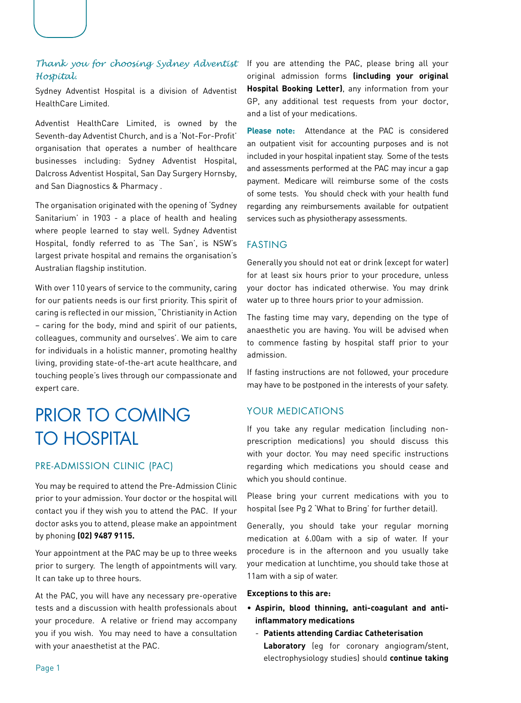### *Thank you for choosing Sydney Adventist Hospital.*

Sydney Adventist Hospital is a division of Adventist HealthCare Limited.

Adventist HealthCare Limited, is owned by the Seventh-day Adventist Church, and is a 'Not-For-Profit' organisation that operates a number of healthcare businesses including: Sydney Adventist Hospital, Dalcross Adventist Hospital, San Day Surgery Hornsby, and San Diagnostics & Pharmacy .

The organisation originated with the opening of 'Sydney Sanitarium' in 1903 - a place of health and healing where people learned to stay well. Sydney Adventist Hospital, fondly referred to as 'The San', is NSW's largest private hospital and remains the organisation's Australian flagship institution.

With over 110 years of service to the community, caring for our patients needs is our first priority. This spirit of caring is reflected in our mission, "Christianity in Action – caring for the body, mind and spirit of our patients, colleagues, community and ourselves'. We aim to care for individuals in a holistic manner, promoting healthy living, providing state-of-the-art acute healthcare, and touching people's lives through our compassionate and expert care.

## PRIOR TO COMING TO HOSPITAL

### PRE-ADMISSION CLINIC (PAC)

You may be required to attend the Pre-Admission Clinic prior to your admission. Your doctor or the hospital will contact you if they wish you to attend the PAC. If your doctor asks you to attend, please make an appointment by phoning **(02) 9487 9115.** 

Your appointment at the PAC may be up to three weeks prior to surgery. The length of appointments will vary. It can take up to three hours.

At the PAC, you will have any necessary pre-operative tests and a discussion with health professionals about your procedure. A relative or friend may accompany you if you wish. You may need to have a consultation with your anaesthetist at the PAC.

If you are attending the PAC, please bring all your original admission forms **(including your original Hospital Booking Letter)**, any information from your GP, any additional test requests from your doctor, and a list of your medications.

**Please note:** Attendance at the PAC is considered an outpatient visit for accounting purposes and is not included in your hospital inpatient stay. Some of the tests and assessments performed at the PAC may incur a gap payment. Medicare will reimburse some of the costs of some tests. You should check with your health fund regarding any reimbursements available for outpatient services such as physiotherapy assessments.

### FASTING

Generally you should not eat or drink (except for water) for at least six hours prior to your procedure, unless your doctor has indicated otherwise. You may drink water up to three hours prior to your admission.

The fasting time may vary, depending on the type of anaesthetic you are having. You will be advised when to commence fasting by hospital staff prior to your admission.

If fasting instructions are not followed, your procedure may have to be postponed in the interests of your safety.

### YOUR MEDICATIONS

If you take any regular medication (including nonprescription medications) you should discuss this with your doctor. You may need specific instructions regarding which medications you should cease and which you should continue.

Please bring your current medications with you to hospital (see Pg 2 'What to Bring' for further detail).

Generally, you should take your regular morning medication at 6.00am with a sip of water. If your procedure is in the afternoon and you usually take your medication at lunchtime, you should take those at 11am with a sip of water.

#### **Exceptions to this are:**

- **Aspirin, blood thinning, anti-coagulant and antiinflammatory medications**
	- **Patients attending Cardiac Catheterisation Laboratory** (eg for coronary angiogram/stent, electrophysiology studies) should **continue taking**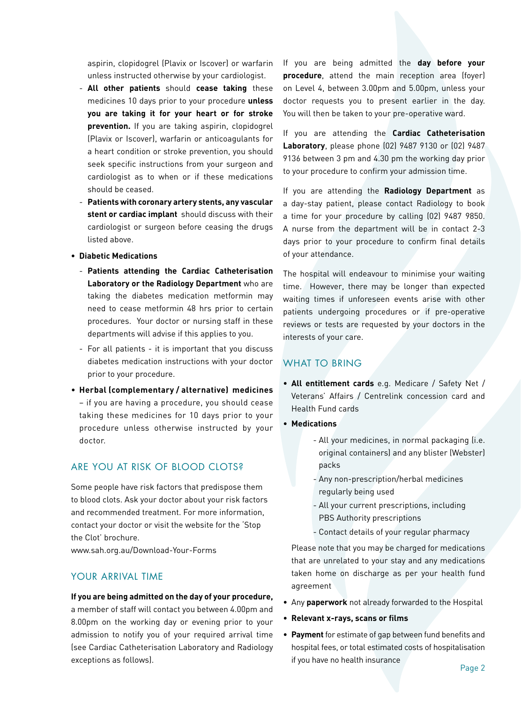aspirin, clopidogrel (Plavix or Iscover) or warfarin unless instructed otherwise by your cardiologist.

- **All other patients** should **cease taking** these medicines 10 days prior to your procedure **unless you are taking it for your heart or for stroke prevention.** If you are taking aspirin, clopidogrel (Plavix or Iscover), warfarin or anticoagulants for a heart condition or stroke prevention, you should seek specific instructions from your surgeon and cardiologist as to when or if these medications should be ceased.
- **Patients with coronary artery stents, any vascular stent or cardiac implant** should discuss with their cardiologist or surgeon before ceasing the drugs listed above.
- **• Diabetic Medications** 
	- **Patients attending the Cardiac Catheterisation Laboratory or the Radiology Department** who are taking the diabetes medication metformin may need to cease metformin 48 hrs prior to certain procedures. Your doctor or nursing staff in these departments will advise if this applies to you.
	- For all patients it is important that you discuss diabetes medication instructions with your doctor prior to your procedure.
- **Herbal (complementary / alternative) medicines**  – if you are having a procedure, you should cease taking these medicines for 10 days prior to your procedure unless otherwise instructed by your doctor.

### ARE YOU AT RISK OF BLOOD CLOTS?

Some people have risk factors that predispose them to blood clots. Ask your doctor about your risk factors and recommended treatment. For more information, contact your doctor or visit the website for the 'Stop the Clot' brochure.

www.sah.org.au/Download-Your-Forms

### YOUR ARRIVAL TIME

#### **If you are being admitted on the day of your procedure,**

a member of staff will contact you between 4.00pm and 8.00pm on the working day or evening prior to your admission to notify you of your required arrival time (see Cardiac Catheterisation Laboratory and Radiology exceptions as follows).

If you are being admitted the **day before your procedure**, attend the main reception area (foyer) on Level 4, between 3.00pm and 5.00pm, unless your doctor requests you to present earlier in the day. You will then be taken to your pre-operative ward.

If you are attending the **Cardiac Catheterisation Laboratory**, please phone (02) 9487 9130 or (02) 9487 9136 between 3 pm and 4.30 pm the working day prior to your procedure to confirm your admission time.

If you are attending the **Radiology Department** as a day-stay patient, please contact Radiology to book a time for your procedure by calling (02) 9487 9850. A nurse from the department will be in contact 2-3 days prior to your procedure to confirm final details of your attendance.

The hospital will endeavour to minimise your waiting time. However, there may be longer than expected waiting times if unforeseen events arise with other patients undergoing procedures or if pre-operative reviews or tests are requested by your doctors in the interests of your care.

### WHAT TO BRING

- **All entitlement cards** e.g. Medicare / Safety Net / Veterans' Affairs / Centrelink concession card and Health Fund cards
- **Medications**
	- All your medicines, in normal packaging (i.e. original containers) and any blister (Webster) packs
	- Any non-prescription/herbal medicines regularly being used
	- All your current prescriptions, including PBS Authority prescriptions
	- Contact details of your regular pharmacy

Please note that you may be charged for medications that are unrelated to your stay and any medications taken home on discharge as per your health fund agreement

- Any **paperwork** not already forwarded to the Hospital
- **Relevant x-rays, scans or films**
- **Payment** for estimate of gap between fund benefits and hospital fees, or total estimated costs of hospitalisation if you have no health insurance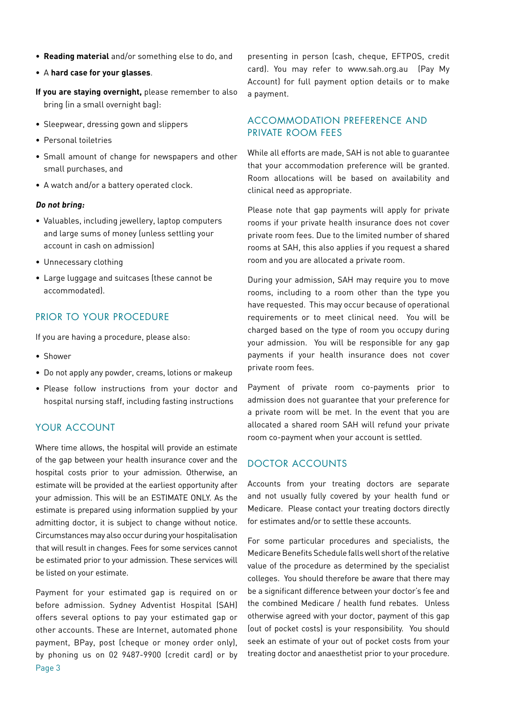- **Reading material** and/or something else to do, and
- A **hard case for your glasses**.
- **If you are staying overnight,** please remember to also bring (in a small overnight bag):
- Sleepwear, dressing gown and slippers
- Personal toiletries
- Small amount of change for newspapers and other small purchases, and
- A watch and/or a battery operated clock.

#### **Do not bring:**

- Valuables, including jewellery, laptop computers and large sums of money (unless settling your account in cash on admission)
- Unnecessary clothing
- Large luggage and suitcases (these cannot be accommodated).

### PRIOR TO YOUR PROCEDURE

If you are having a procedure, please also:

- Shower
- Do not apply any powder, creams, lotions or makeup
- Please follow instructions from your doctor and hospital nursing staff, including fasting instructions

### YOUR ACCOUNT

Where time allows, the hospital will provide an estimate of the gap between your health insurance cover and the hospital costs prior to your admission. Otherwise, an estimate will be provided at the earliest opportunity after your admission. This will be an ESTIMATE ONLY. As the estimate is prepared using information supplied by your admitting doctor, it is subject to change without notice. Circumstances may also occur during your hospitalisation that will result in changes. Fees for some services cannot be estimated prior to your admission. These services will be listed on your estimate.

Payment for your estimated gap is required on or before admission. Sydney Adventist Hospital (SAH) offers several options to pay your estimated gap or other accounts. These are Internet, automated phone payment, BPay, post (cheque or money order only), by phoning us on 02 9487-9900 (credit card) or by Page 3

presenting in person (cash, cheque, EFTPOS, credit card). You may refer to www.sah.org.au (Pay My Account) for full payment option details or to make a payment.

### ACCOMMODATION PREFERENCE AND PRIVATE ROOM FEES

While all efforts are made, SAH is not able to guarantee that your accommodation preference will be granted. Room allocations will be based on availability and clinical need as appropriate.

Please note that gap payments will apply for private rooms if your private health insurance does not cover private room fees. Due to the limited number of shared rooms at SAH, this also applies if you request a shared room and you are allocated a private room.

During your admission, SAH may require you to move rooms, including to a room other than the type you have requested. This may occur because of operational requirements or to meet clinical need. You will be charged based on the type of room you occupy during your admission. You will be responsible for any gap payments if your health insurance does not cover private room fees.

Payment of private room co-payments prior to admission does not guarantee that your preference for a private room will be met. In the event that you are allocated a shared room SAH will refund your private room co-payment when your account is settled.

### DOCTOR ACCOUNTS

Accounts from your treating doctors are separate and not usually fully covered by your health fund or Medicare. Please contact your treating doctors directly for estimates and/or to settle these accounts.

For some particular procedures and specialists, the Medicare Benefits Schedule falls well short of the relative value of the procedure as determined by the specialist colleges. You should therefore be aware that there may be a significant difference between your doctor's fee and the combined Medicare / health fund rebates. Unless otherwise agreed with your doctor, payment of this gap (out of pocket costs) is your responsibility. You should seek an estimate of your out of pocket costs from your treating doctor and anaesthetist prior to your procedure.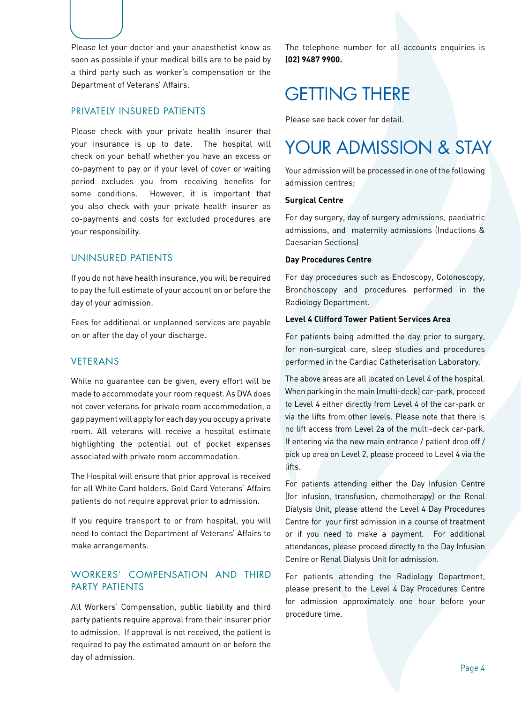Please let your doctor and your anaesthetist know as soon as possible if your medical bills are to be paid by a third party such as worker's compensation or the Department of Veterans' Affairs.

### PRIVATELY INSURED PATIENTS

Please check with your private health insurer that your insurance is up to date. The hospital will check on your behalf whether you have an excess or co-payment to pay or if your level of cover or waiting period excludes you from receiving benefits for some conditions. However, it is important that you also check with your private health insurer as co-payments and costs for excluded procedures are your responsibility.

### UNINSURED PATIENTS

If you do not have health insurance, you will be required to pay the full estimate of your account on or before the day of your admission.

Fees for additional or unplanned services are payable on or after the day of your discharge.

### VETERANS

While no guarantee can be given, every effort will be made to accommodate your room request. As DVA does not cover veterans for private room accommodation, a gap payment will apply for each day you occupy a private room. All veterans will receive a hospital estimate highlighting the potential out of pocket expenses associated with private room accommodation.

The Hospital will ensure that prior approval is received for all White Card holders. Gold Card Veterans' Affairs patients do not require approval prior to admission.

If you require transport to or from hospital, you will need to contact the Department of Veterans' Affairs to make arrangements.

### WORKERS' COMPENSATION AND THIRD PARTY PATIENTS

All Workers' Compensation, public liability and third party patients require approval from their insurer prior to admission. If approval is not received, the patient is required to pay the estimated amount on or before the day of admission.

The telephone number for all accounts enquiries is **(02) 9487 9900.**

### GETTING THERE

Please see back cover for detail.

### YOUR ADMISSION & STAY

Your admission will be processed in one of the following admission centres;

#### **Surgical Centre**

For day surgery, day of surgery admissions, paediatric admissions, and maternity admissions (Inductions & Caesarian Sections)

#### **Day Procedures Centre**

For day procedures such as Endoscopy, Colonoscopy, Bronchoscopy and procedures performed in the Radiology Department.

#### **Level 4 Clifford Tower Patient Services Area**

For patients being admitted the day prior to surgery, for non-surgical care, sleep studies and procedures performed in the Cardiac Catheterisation Laboratory.

The above areas are all located on Level 4 of the hospital. When parking in the main (multi-deck) car-park, proceed to Level 4 either directly from Level 4 of the car-park or via the lifts from other levels. Please note that there is no lift access from Level 2a of the multi-deck car-park. If entering via the new main entrance / patient drop off / pick up area on Level 2, please proceed to Level 4 via the lifts.

For patients attending either the Day Infusion Centre (for infusion, transfusion, chemotherapy) or the Renal Dialysis Unit, please attend the Level 4 Day Procedures Centre for your first admission in a course of treatment or if you need to make a payment. For additional attendances, please proceed directly to the Day Infusion Centre or Renal Dialysis Unit for admission.

For patients attending the Radiology Department, please present to the Level 4 Day Procedures Centre for admission approximately one hour before your procedure time.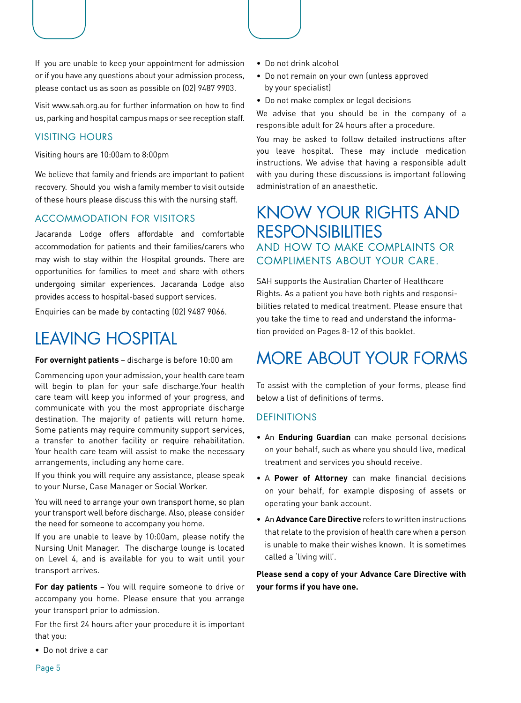If you are unable to keep your appointment for admission or if you have any questions about your admission process, please contact us as soon as possible on (02) 9487 9903.

Visit www.sah.org.au for further information on how to find us, parking and hospital campus maps or see reception staff.

### VISITING HOURS

Visiting hours are 10:00am to 8:00pm

We believe that family and friends are important to patient recovery. Should you wish a family member to visit outside of these hours please discuss this with the nursing staff.

### ACCOMMODATION FOR VISITORS

Jacaranda Lodge offers affordable and comfortable accommodation for patients and their families/carers who may wish to stay within the Hospital grounds. There are opportunities for families to meet and share with others undergoing similar experiences. Jacaranda Lodge also provides access to hospital-based support services.

Enquiries can be made by contacting (02) 9487 9066.

### LEAVING HOSPITAL

**For overnight patients** – discharge is before 10:00 am

Commencing upon your admission, your health care team will begin to plan for your safe discharge.Your health care team will keep you informed of your progress, and communicate with you the most appropriate discharge destination. The majority of patients will return home. Some patients may require community support services, a transfer to another facility or require rehabilitation. Your health care team will assist to make the necessary arrangements, including any home care.

If you think you will require any assistance, please speak to your Nurse, Case Manager or Social Worker.

You will need to arrange your own transport home, so plan your transport well before discharge. Also, please consider the need for someone to accompany you home.

If you are unable to leave by 10:00am, please notify the Nursing Unit Manager. The discharge lounge is located on Level 4, and is available for you to wait until your transport arrives.

**For day patients** – You will require someone to drive or accompany you home. Please ensure that you arrange your transport prior to admission.

For the first 24 hours after your procedure it is important that you:

- Do not drink alcohol
- Do not remain on your own (unless approved by your specialist)
- Do not make complex or legal decisions

We advise that you should be in the company of a responsible adult for 24 hours after a procedure.

You may be asked to follow detailed instructions after you leave hospital. These may include medication instructions. We advise that having a responsible adult with you during these discussions is important following administration of an anaesthetic.

### KNOW YOUR RIGHTS AND RESPONSIBILITIES AND HOW TO MAKE COMPLAINTS OR COMPLIMENTS ABOUT YOUR CARE.

SAH supports the Australian Charter of Healthcare Rights. As a patient you have both rights and responsibilities related to medical treatment. Please ensure that you take the time to read and understand the information provided on Pages 8-12 of this booklet.

### MORE ABOUT YOUR FORMS

To assist with the completion of your forms, please find below a list of definitions of terms.

### DEFINITIONS

- An **Enduring Guardian** can make personal decisions on your behalf, such as where you should live, medical treatment and services you should receive.
- A **Power of Attorney** can make financial decisions on your behalf, for example disposing of assets or operating your bank account.
- An **Advance Care Directive** refers to written instructions that relate to the provision of health care when a person is unable to make their wishes known. It is sometimes called a 'living will'.

**Please send a copy of your Advance Care Directive with your forms if you have one.**

• Do not drive a car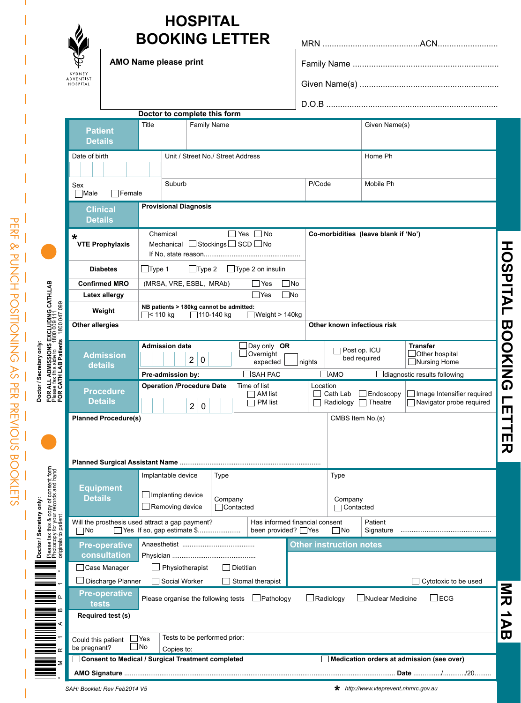|                                                                                                                                    |                                        |                                       | <b>BOOKING LETTER</b>                                 |                   | <b>HOSPITAL</b>                   |                                                      |                   |                                |                                            |                                                        |                 |
|------------------------------------------------------------------------------------------------------------------------------------|----------------------------------------|---------------------------------------|-------------------------------------------------------|-------------------|-----------------------------------|------------------------------------------------------|-------------------|--------------------------------|--------------------------------------------|--------------------------------------------------------|-----------------|
|                                                                                                                                    |                                        |                                       | AMO Name please print                                 |                   |                                   |                                                      |                   |                                |                                            |                                                        |                 |
|                                                                                                                                    | SYDNEY<br>ADVENTIST<br><b>HOSPITAL</b> |                                       |                                                       |                   |                                   |                                                      |                   |                                |                                            |                                                        |                 |
|                                                                                                                                    |                                        |                                       |                                                       |                   |                                   |                                                      |                   |                                |                                            |                                                        |                 |
|                                                                                                                                    |                                        |                                       | Doctor to complete this form                          |                   |                                   |                                                      |                   |                                |                                            |                                                        |                 |
|                                                                                                                                    | <b>Details</b>                         | <b>Patient</b>                        | Title                                                 | Family Name       |                                   |                                                      |                   |                                | Given Name(s)                              |                                                        |                 |
|                                                                                                                                    | Date of birth                          |                                       |                                                       |                   | Unit / Street No./ Street Address |                                                      |                   |                                | Home Ph                                    |                                                        |                 |
|                                                                                                                                    | Sex<br> Male                           | $\Box$ Female                         | Suburb                                                |                   |                                   |                                                      | P/Code            |                                | Mobile Ph                                  |                                                        |                 |
|                                                                                                                                    |                                        | <b>Clinical</b><br><b>Details</b>     | <b>Provisional Diagnosis</b>                          |                   |                                   |                                                      |                   |                                |                                            |                                                        |                 |
|                                                                                                                                    | *                                      | <b>VTE Prophylaxis</b>                | Chemical<br>Mechanical                                |                   |                                   | $\Box$ Yes $\Box$ No<br>Stockings SCD No             |                   |                                | Co-morbidities (leave blank if 'No')       |                                                        |                 |
|                                                                                                                                    |                                        | <b>Diabetes</b>                       | $\Box$ Type 1                                         |                   |                                   | $\Box$ Type 2 $\Box$ Type 2 on insulin               |                   |                                |                                            |                                                        |                 |
| LLADMISSIONS EXCLUDING CATH.LAB<br>fax this side to _1800 009 111<br>ATH LAB Patients_1800 047 099                                 |                                        | <b>Confirmed MRO</b><br>Latex allergy | (MRSA, VRE, ESBL, MRAb)                               |                   |                                   | ∣ ∣Yes<br> Yes                                       | $\neg$ No<br>  No |                                |                                            |                                                        | <b>HOSPITAL</b> |
|                                                                                                                                    |                                        | Weight                                | NB patients > 180kg cannot be admitted:<br>│ < 110 kg | 110-140 kg        |                                   | $\Box$ Weight > 140kg                                |                   |                                |                                            |                                                        |                 |
|                                                                                                                                    | <b>Other allergies</b>                 |                                       |                                                       |                   |                                   |                                                      |                   |                                | Other known infectious risk                |                                                        |                 |
|                                                                                                                                    |                                        |                                       | <b>Admission date</b>                                 |                   |                                   | Day only OR                                          |                   |                                |                                            | <b>Transfer</b>                                        |                 |
| Doctor / Secretary only:                                                                                                           |                                        | <b>Admission</b>                      |                                                       | 2 0               |                                   | Overnight<br>expected                                | nights            |                                | Post op. ICU<br>bed required               | Other hospital<br>$\Box$ Nursing Home                  | <b>BOOKING</b>  |
|                                                                                                                                    |                                        | details                               | Pre-admission by:                                     |                   |                                   | $\exists$ SAH PAC                                    |                   | $\Box$ AMO                     |                                            | diagnostic results following                           |                 |
|                                                                                                                                    |                                        | <b>Procedure</b>                      | <b>Operation /Procedure Date</b>                      |                   |                                   | Time of list                                         |                   | Location                       |                                            |                                                        |                 |
| FOR AL<br>Please<br>FOR C                                                                                                          |                                        | <b>Details</b>                        |                                                       | 2 <br>$\mathbf 0$ |                                   | AM list<br>PM list                                   |                   | Cath Lab<br>Radiology          | Endoscopy<br>Theatre                       | Image Intensifier required<br>Navigator probe required | Ш               |
|                                                                                                                                    |                                        | <b>Planned Procedure(s)</b>           |                                                       |                   |                                   |                                                      |                   |                                | CMBS Item No.(s)                           |                                                        | ⊣               |
|                                                                                                                                    |                                        |                                       |                                                       |                   |                                   |                                                      |                   |                                |                                            |                                                        | —<br>Ш<br>刀     |
|                                                                                                                                    |                                        |                                       |                                                       |                   |                                   |                                                      |                   |                                |                                            |                                                        |                 |
|                                                                                                                                    |                                        |                                       | Implantable device                                    |                   | Type                              |                                                      |                   | Type                           |                                            |                                                        |                 |
| Doctor / Secretary only:<br>Please fax this & copy of consent form<br>Photocopy for your records and hand<br>originals to patient. | <b>Details</b>                         | <b>Equipment</b>                      | Implanting device<br>$\Box$ Removing device           |                   | Company<br>Contacted              |                                                      |                   | Company                        | $\neg$ Contacted                           |                                                        |                 |
|                                                                                                                                    | ∩No                                    |                                       | Will the prosthesis used attract a gap payment?       |                   |                                   | Has informed financial consent<br>been provided? Yes |                   | No                             | Patient<br>Signature                       |                                                        |                 |
|                                                                                                                                    |                                        | <b>Pre-operative</b>                  |                                                       |                   |                                   |                                                      |                   | <b>Other instruction notes</b> |                                            |                                                        |                 |
|                                                                                                                                    |                                        | consultation                          |                                                       |                   |                                   |                                                      |                   |                                |                                            |                                                        |                 |
|                                                                                                                                    |                                        | Case Manager                          | $\Box$ Physiotherapist                                |                   |                                   | $\Box$ Dietitian                                     |                   |                                |                                            |                                                        |                 |
|                                                                                                                                    |                                        | $\Box$ Discharge Planner              | Social Worker                                         |                   |                                   | Stomal therapist                                     |                   |                                |                                            | Cytotoxic to be used                                   |                 |
|                                                                                                                                    |                                        | <b>Pre-operative</b><br>tests         | Please organise the following tests                   |                   |                                   | $\Box$ Pathology                                     |                   | $\Box$ Radiology               | Nuclear Medicine                           | $\sqcup$ ECG                                           | ミカ<br>ک         |
|                                                                                                                                    |                                        | <b>Required test (s)</b>              |                                                       |                   |                                   |                                                      |                   |                                |                                            |                                                        | <b>AB</b>       |
|                                                                                                                                    | Could this patient<br>be pregnant?     |                                       | $\Box$ Yes<br>$\Box$ No<br>Copies to:                 |                   | Tests to be performed prior:      |                                                      |                   |                                |                                            |                                                        |                 |
| Σ                                                                                                                                  |                                        |                                       | Consent to Medical / Surgical Treatment completed     |                   |                                   |                                                      |                   |                                |                                            | Medication orders at admission (see over)              |                 |
|                                                                                                                                    |                                        |                                       |                                                       |                   |                                   |                                                      |                   |                                |                                            |                                                        |                 |
|                                                                                                                                    |                                        | SAH: Booklet: Rev Feb2014 V5          |                                                       |                   |                                   |                                                      |                   |                                | $\star$ http://www.vteprevent.nhmrc.gov.au |                                                        |                 |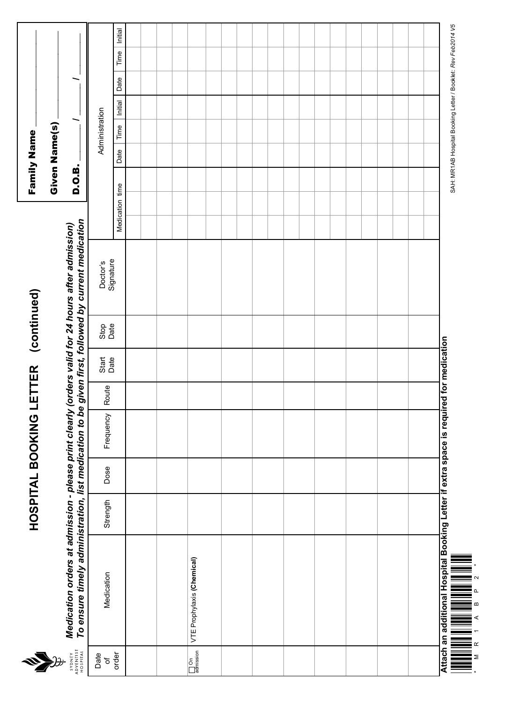|                                                                                                   |                                                                                                    |                       | Initial         |  |                                     |  |  |  |  |  |  |  |                                                                                                                  |
|---------------------------------------------------------------------------------------------------|----------------------------------------------------------------------------------------------------|-----------------------|-----------------|--|-------------------------------------|--|--|--|--|--|--|--|------------------------------------------------------------------------------------------------------------------|
|                                                                                                   |                                                                                                    |                       | Time            |  |                                     |  |  |  |  |  |  |  |                                                                                                                  |
|                                                                                                   |                                                                                                    |                       | Date            |  |                                     |  |  |  |  |  |  |  | SAH: MR1AB Hospital Booking Letter / Booklet: Rev Feb2014 V5                                                     |
|                                                                                                   |                                                                                                    |                       | Initial         |  |                                     |  |  |  |  |  |  |  |                                                                                                                  |
|                                                                                                   |                                                                                                    | Administration        | Time            |  |                                     |  |  |  |  |  |  |  |                                                                                                                  |
|                                                                                                   |                                                                                                    |                       | Date            |  |                                     |  |  |  |  |  |  |  |                                                                                                                  |
| Given Name(s)<br>Family Name<br>D.O.B.                                                            |                                                                                                    |                       |                 |  |                                     |  |  |  |  |  |  |  |                                                                                                                  |
|                                                                                                   |                                                                                                    |                       | Medication time |  |                                     |  |  |  |  |  |  |  |                                                                                                                  |
|                                                                                                   |                                                                                                    |                       |                 |  |                                     |  |  |  |  |  |  |  |                                                                                                                  |
|                                                                                                   |                                                                                                    | Signature<br>Doctor's |                 |  |                                     |  |  |  |  |  |  |  |                                                                                                                  |
| (continued)                                                                                       |                                                                                                    | Stop<br>Date          |                 |  |                                     |  |  |  |  |  |  |  |                                                                                                                  |
| <b>TTER</b>                                                                                       |                                                                                                    | Start<br>Date         |                 |  |                                     |  |  |  |  |  |  |  |                                                                                                                  |
|                                                                                                   |                                                                                                    | Route                 |                 |  |                                     |  |  |  |  |  |  |  |                                                                                                                  |
| HOSPITAL BOOKING LET                                                                              |                                                                                                    | Frequency             |                 |  |                                     |  |  |  |  |  |  |  |                                                                                                                  |
|                                                                                                   |                                                                                                    | Dose                  |                 |  |                                     |  |  |  |  |  |  |  |                                                                                                                  |
|                                                                                                   |                                                                                                    | Strength              |                 |  |                                     |  |  |  |  |  |  |  |                                                                                                                  |
| Medication orders at admission - please print clearly (orders valid for 24 hours after admission) | To ensure timely administration, list medication to be given first, followed by current medication | Medication            |                 |  | VTE Prophylaxis (Chemical)          |  |  |  |  |  |  |  | Attach an additional Hospital Booking Letter if extra space is required for medication<br><b>HILLING CONTROL</b> |
| SYDNEY<br>ADVENTIST<br>HOSPITAL                                                                   |                                                                                                    | Date<br>of            | order           |  | $\sqrt{\frac{1}{\text{admission}}}$ |  |  |  |  |  |  |  |                                                                                                                  |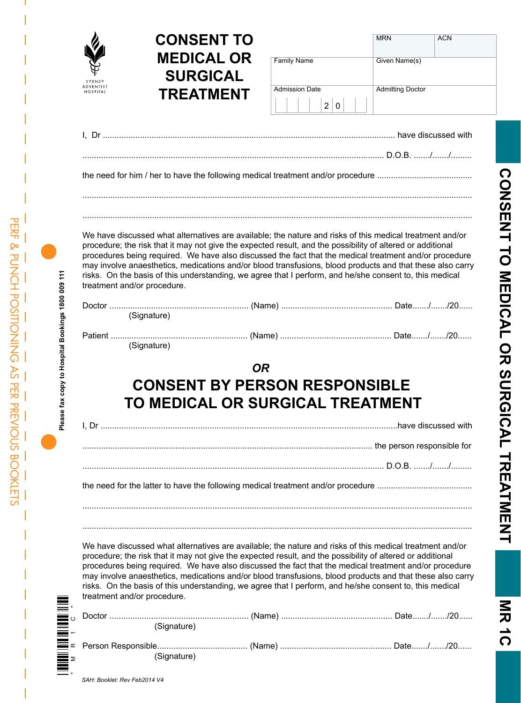

Perf & PUNCH PERF & PUNCH POSITIONING AS PER PREVIOUS BOOKLETS Positio O<br>Ning as

**Please fax copy to Hospital Bookings 1800 009 111**

Please fax copy to Hospital Bookings 1800 009 111

Ξ

AS<br>F

PR<br>PR<br>PR

Us booklets

### **CONSENT TO MEDICAL OR SURGICAL TREATMENT**

|                                                         | <b>MRN</b>              | <b>ACN</b> |
|---------------------------------------------------------|-------------------------|------------|
| <b>Family Name</b>                                      | Given Name(s)           |            |
| <b>Admission Date</b><br>$\overline{2}$<br>$\mathbf{0}$ | <b>Admitting Doctor</b> |            |

| We have discussed what alternatives are available; the nature and risks of this medical treatment and/or<br>procedure; the risk that it may not give the expected result, and the possibility of altered or additional<br>and a property we have a set to be a set to see that that the fact that the medical treatment and learn we are |
|------------------------------------------------------------------------------------------------------------------------------------------------------------------------------------------------------------------------------------------------------------------------------------------------------------------------------------------|

procedures being required. We have also discussed the fact that the medical treatment and/or procedure may involve anaesthetics, medications and/or blood transfusions, blood products and that these also carry risks. On the basis of this understanding, we agree that I perform, and he/she consent to, this medical treatment and/or procedure.

| (Signature) |  |  |
|-------------|--|--|
|             |  |  |
| (Signature) |  |  |

### *OR OR*  **CONSENT BY PERSON RESPONSIBLE TO MEDICAL OR SURGICAL TREATMENT**

| the person responsible for |  |
|----------------------------|--|
|                            |  |

the need for the latter to have the following medical treatment and/or procedure .........................................

........................................................................................................................................................................

........................................................................................................................................................................

We have discussed what alternatives are available; the nature and risks of this medical treatment and/or procedure; the risk that it may not give the expected result, and the possibility of altered or additional procedures being required. We have also discussed the fact that the medical treatment and/or procedure may involve anaesthetics, medications and/or blood transfusions, blood products and that these also carry risks. On the basis of this understanding, we agree that I perform, and he/she consent to, this medical treatment and/or procedure.

| $\equiv$ $\dot{}$<br>$\equiv$ .<br>▇. | (Signature) |  |
|---------------------------------------|-------------|--|
| ≣≥<br>畫                               | (Signature) |  |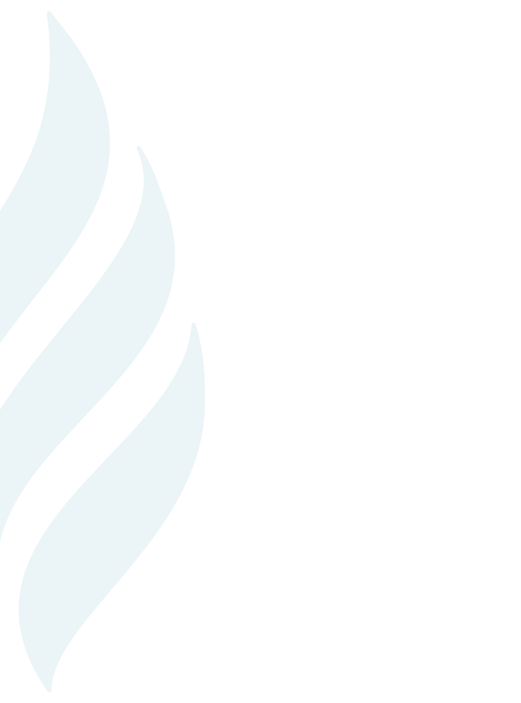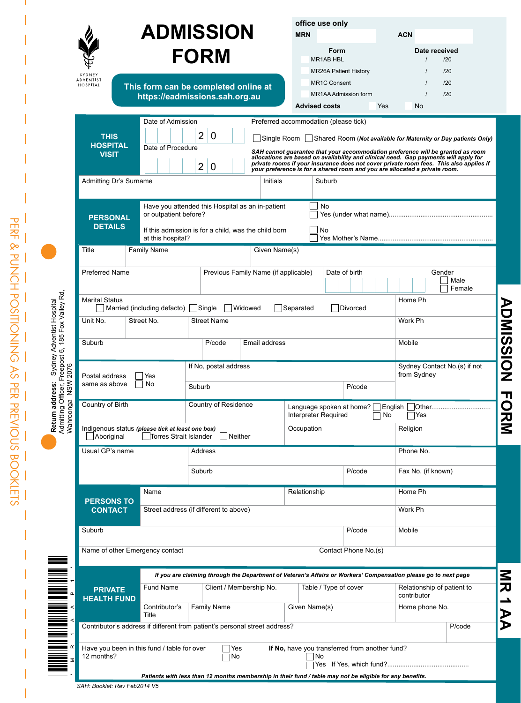|                                                                              | SYDNEY<br><b>ADVENTIST</b><br>HOSPITAL                                             |                                                               | <b>ADMISSION</b><br><b>FORM</b><br>This form can be completed online at<br>https://eadmissions.sah.org.au                                                        |                                                   | <b>MRN</b>                         | office use only<br>Form<br><b>MR1AB HBL</b><br><b>MR1C Consent</b><br><b>Advised costs</b> | <b>MR26A Patient History</b><br>MR1AA Admission form<br>Yes | <b>ACN</b><br>Date received<br><b>No</b>                                                                                                                                                                                                                                                                                                                                                                                      | /20<br>/20<br>/20<br>/20 |                        |
|------------------------------------------------------------------------------|------------------------------------------------------------------------------------|---------------------------------------------------------------|------------------------------------------------------------------------------------------------------------------------------------------------------------------|---------------------------------------------------|------------------------------------|--------------------------------------------------------------------------------------------|-------------------------------------------------------------|-------------------------------------------------------------------------------------------------------------------------------------------------------------------------------------------------------------------------------------------------------------------------------------------------------------------------------------------------------------------------------------------------------------------------------|--------------------------|------------------------|
|                                                                              | <b>THIS</b><br><b>HOSPITAL</b><br><b>VISIT</b><br>Admitting Dr's Surname           | Date of Admission<br>Date of Procedure                        | $\overline{2}$<br>0<br>$\overline{2}$<br>$\mathbf 0$                                                                                                             | Preferred accommodation (please tick)<br>Initials |                                    | Suburb                                                                                     |                                                             | Single Room Shared Room (Not available for Maternity or Day patients Only)<br>SAH cannot guarantee that your accommodation preference will be granted as room<br>allocations are based on availability and clinical need. Gap payments will apply for<br>private rooms if your insurance does not cover private room fees. This also applies if<br>your preference is for a shared room and you are allocated a private room. |                          |                        |
|                                                                              | <b>PERSONAL</b><br><b>DETAILS</b><br>Title                                         | or outpatient before?<br>at this hospital?<br>Family Name     | Have you attended this Hospital as an in-patient<br>If this admission is for a child, was the child born                                                         | Given Name(s)                                     |                                    | No<br>No                                                                                   |                                                             |                                                                                                                                                                                                                                                                                                                                                                                                                               |                          |                        |
|                                                                              | <b>Preferred Name</b>                                                              |                                                               | Previous Family Name (if applicable)                                                                                                                             |                                                   |                                    |                                                                                            | Date of birth                                               | Gender                                                                                                                                                                                                                                                                                                                                                                                                                        | Male<br>Female           |                        |
| : Sydney Adventist Hospital<br>Freepost 6, 185 Fox Valley Rd,<br>/ 2076<br>> | <b>Marital Status</b><br>Unit No.<br>Suburb<br>Postal address<br>same as above     | Married (including defacto)<br>Street No.<br>Yes<br>$\Box$ No | Single<br>Widowed<br><b>Street Name</b><br>P/code<br>If No, postal address<br>Suburb                                                                             | Email address                                     | Separated                          |                                                                                            | <b>Divorced</b><br>P/code                                   | Home Ph<br>Work Ph<br>Mobile<br>Sydney Contact No.(s) if not<br>from Sydney                                                                                                                                                                                                                                                                                                                                                   |                          | <b>ADMISSION</b><br>П  |
| <b>Return address:</b><br>Admitting Officer,<br>Wahroonga NSW                | Country of Birth<br>Indigenous status (please tick at least one box)<br>Aboriginal | Torres Strait Islander                                        | Country of Residence<br>  Neither                                                                                                                                |                                                   | Interpreter Required<br>Occupation |                                                                                            | Language spoken at home?<br>No                              | English<br>Yes<br>Religion                                                                                                                                                                                                                                                                                                                                                                                                    | Other                    | ORS                    |
|                                                                              | Usual GP's name<br><b>PERSONS TO</b>                                               | Name                                                          | Address<br>Suburb                                                                                                                                                |                                                   | Relationship                       |                                                                                            | P/code                                                      | Phone No.<br>Fax No. (if known)<br>Home Ph                                                                                                                                                                                                                                                                                                                                                                                    |                          |                        |
|                                                                              | <b>CONTACT</b><br>Suburb<br>Name of other Emergency contact                        |                                                               | Street address (if different to above)                                                                                                                           |                                                   |                                    |                                                                                            | P/code<br>Contact Phone No.(s)                              | Work Ph<br>Mobile                                                                                                                                                                                                                                                                                                                                                                                                             |                          |                        |
| <b>THE REAL PROPERTY</b>                                                     | <b>PRIVATE</b><br><b>HEALTH FUND</b>                                               | <b>Fund Name</b><br>Contributor's                             | If you are claiming through the Department of Veteran's Affairs or Workers' Compensation please go to next page<br>Client / Membership No.<br><b>Family Name</b> |                                                   | Given Name(s)                      | Table / Type of cover                                                                      |                                                             | Relationship of patient to<br>contributor<br>Home phone No.                                                                                                                                                                                                                                                                                                                                                                   |                          | ミカ<br>$\blacktriangle$ |
|                                                                              | Have you been in this fund / table for over                                        | Title                                                         | Contributor's address if different from patient's personal street address?<br>Yes                                                                                |                                                   |                                    |                                                                                            | If No, have you transferred from another fund?              |                                                                                                                                                                                                                                                                                                                                                                                                                               | P/code                   | AA                     |
|                                                                              | 12 months?                                                                         |                                                               | No<br>Patients with less than 12 months membership in their fund / table may not be eligible for any benefits.                                                   |                                                   |                                    | No                                                                                         |                                                             |                                                                                                                                                                                                                                                                                                                                                                                                                               |                          |                        |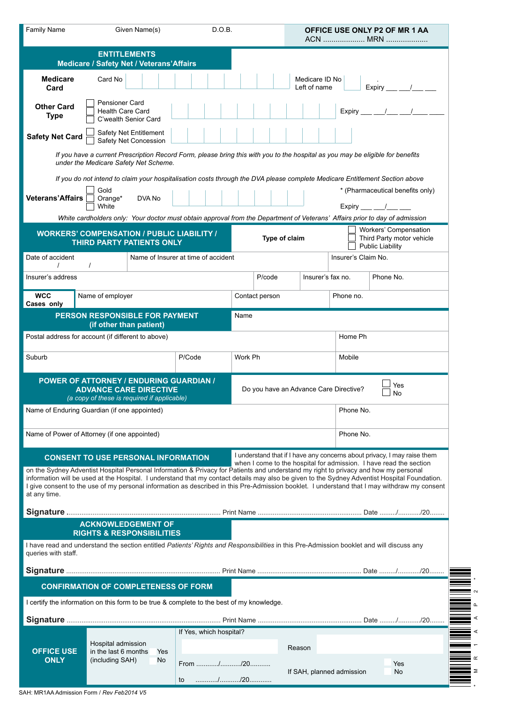| <b>Family Name</b>               | Given Name(s)                                                                                                                                                                                                                                                                                                                                                                                                                        | D.O.B.                              |                                                                                                                                                |                                |                     | OFFICE USE ONLY P2 OF MR 1 AA                                                        |  |
|----------------------------------|--------------------------------------------------------------------------------------------------------------------------------------------------------------------------------------------------------------------------------------------------------------------------------------------------------------------------------------------------------------------------------------------------------------------------------------|-------------------------------------|------------------------------------------------------------------------------------------------------------------------------------------------|--------------------------------|---------------------|--------------------------------------------------------------------------------------|--|
|                                  | <b>ENTITLEMENTS</b><br><b>Medicare / Safety Net / Veterans' Affairs</b>                                                                                                                                                                                                                                                                                                                                                              |                                     |                                                                                                                                                |                                |                     |                                                                                      |  |
| <b>Medicare</b><br>Card          | Card No                                                                                                                                                                                                                                                                                                                                                                                                                              |                                     |                                                                                                                                                | Medicare ID No<br>Left of name |                     | $Expiry$ /                                                                           |  |
| <b>Other Card</b><br><b>Type</b> | <b>Pensioner Card</b><br><b>Health Care Card</b><br>C'wealth Senior Card                                                                                                                                                                                                                                                                                                                                                             |                                     |                                                                                                                                                |                                |                     | Expiry $\qquad \qquad$ / $\qquad \qquad$ /                                           |  |
| <b>Safety Net Card</b>           | Safety Net Entitlement<br>Safety Net Concession                                                                                                                                                                                                                                                                                                                                                                                      |                                     |                                                                                                                                                |                                |                     |                                                                                      |  |
|                                  | If you have a current Prescription Record Form, please bring this with you to the hospital as you may be eligible for benefits<br>under the Medicare Safety Net Scheme.                                                                                                                                                                                                                                                              |                                     |                                                                                                                                                |                                |                     |                                                                                      |  |
|                                  | If you do not intend to claim your hospitalisation costs through the DVA please complete Medicare Entitlement Section above                                                                                                                                                                                                                                                                                                          |                                     |                                                                                                                                                |                                |                     |                                                                                      |  |
| <b>Veterans'Affairs</b>          | Gold<br>Orange*<br>DVA No<br>White                                                                                                                                                                                                                                                                                                                                                                                                   |                                     |                                                                                                                                                |                                | Expiry /            | * (Pharmaceutical benefits only)                                                     |  |
|                                  | White cardholders only: Your doctor must obtain approval from the Department of Veterans' Affairs prior to day of admission                                                                                                                                                                                                                                                                                                          |                                     |                                                                                                                                                |                                |                     |                                                                                      |  |
|                                  | <b>WORKERS' COMPENSATION / PUBLIC LIABILITY /</b><br>THIRD PARTY PATIENTS ONLY                                                                                                                                                                                                                                                                                                                                                       |                                     | Type of claim                                                                                                                                  |                                |                     | <b>Workers' Compensation</b><br>Third Party motor vehicle<br><b>Public Liability</b> |  |
| Date of accident<br>$\prime$     | $\prime$                                                                                                                                                                                                                                                                                                                                                                                                                             | Name of Insurer at time of accident |                                                                                                                                                |                                | Insurer's Claim No. |                                                                                      |  |
| Insurer's address                |                                                                                                                                                                                                                                                                                                                                                                                                                                      |                                     | P/code                                                                                                                                         | Insurer's fax no.              |                     | Phone No.                                                                            |  |
| <b>WCC</b><br>Cases only         | Name of employer                                                                                                                                                                                                                                                                                                                                                                                                                     |                                     | Contact person                                                                                                                                 |                                | Phone no.           |                                                                                      |  |
|                                  | <b>PERSON RESPONSIBLE FOR PAYMENT</b><br>(if other than patient)                                                                                                                                                                                                                                                                                                                                                                     | Name                                |                                                                                                                                                |                                |                     |                                                                                      |  |
|                                  | Postal address for account (if different to above)                                                                                                                                                                                                                                                                                                                                                                                   |                                     |                                                                                                                                                |                                | Home Ph             |                                                                                      |  |
| Suburb                           |                                                                                                                                                                                                                                                                                                                                                                                                                                      | P/Code                              | Work Ph                                                                                                                                        |                                | Mobile              |                                                                                      |  |
|                                  | <b>POWER OF ATTORNEY / ENDURING GUARDIAN /</b><br><b>ADVANCE CARE DIRECTIVE</b><br>(a copy of these is required if applicable)                                                                                                                                                                                                                                                                                                       |                                     | Do you have an Advance Care Directive?                                                                                                         |                                |                     | Yes<br>No                                                                            |  |
|                                  | Name of Enduring Guardian (if one appointed)                                                                                                                                                                                                                                                                                                                                                                                         |                                     |                                                                                                                                                |                                | Phone No.           |                                                                                      |  |
|                                  | Name of Power of Attorney (if one appointed)                                                                                                                                                                                                                                                                                                                                                                                         |                                     |                                                                                                                                                |                                | Phone No.           |                                                                                      |  |
|                                  | <b>CONSENT TO USE PERSONAL INFORMATION</b>                                                                                                                                                                                                                                                                                                                                                                                           |                                     | I understand that if I have any concerns about privacy, I may raise them<br>when I come to the hospital for admission. I have read the section |                                |                     |                                                                                      |  |
| at any time.                     | on the Sydney Adventist Hospital Personal Information & Privacy for Patients and understand my right to privacy and how my personal<br>information will be used at the Hospital. I understand that my contact details may also be given to the Sydney Adventist Hospital Foundation.<br>I give consent to the use of my personal information as described in this Pre-Admission booklet. I understand that I may withdraw my consent |                                     |                                                                                                                                                |                                |                     |                                                                                      |  |
|                                  |                                                                                                                                                                                                                                                                                                                                                                                                                                      |                                     |                                                                                                                                                |                                |                     |                                                                                      |  |
|                                  | <b>ACKNOWLEDGEMENT OF</b><br><b>RIGHTS &amp; RESPONSIBILITIES</b>                                                                                                                                                                                                                                                                                                                                                                    |                                     |                                                                                                                                                |                                |                     |                                                                                      |  |
| queries with staff.              | I have read and understand the section entitled Patients' Rights and Responsibilities in this Pre-Admission booklet and will discuss any                                                                                                                                                                                                                                                                                             |                                     |                                                                                                                                                |                                |                     |                                                                                      |  |
|                                  |                                                                                                                                                                                                                                                                                                                                                                                                                                      |                                     |                                                                                                                                                |                                |                     |                                                                                      |  |
|                                  | <b>CONFIRMATION OF COMPLETENESS OF FORM</b>                                                                                                                                                                                                                                                                                                                                                                                          |                                     |                                                                                                                                                |                                |                     |                                                                                      |  |
|                                  | I certify the information on this form to be true & complete to the best of my knowledge.                                                                                                                                                                                                                                                                                                                                            |                                     |                                                                                                                                                |                                |                     |                                                                                      |  |
|                                  |                                                                                                                                                                                                                                                                                                                                                                                                                                      |                                     |                                                                                                                                                |                                |                     |                                                                                      |  |
| <b>OFFICE USE</b>                | Hospital admission                                                                                                                                                                                                                                                                                                                                                                                                                   | If Yes, which hospital?             |                                                                                                                                                | Reason                         |                     |                                                                                      |  |
| <b>ONLY</b>                      | in the last 6 months<br>Yes<br>(including SAH)<br>No                                                                                                                                                                                                                                                                                                                                                                                 | From //20                           |                                                                                                                                                | If SAH, planned admission      |                     | Yes<br>No                                                                            |  |
|                                  |                                                                                                                                                                                                                                                                                                                                                                                                                                      | to $120$                            |                                                                                                                                                |                                |                     |                                                                                      |  |

\* M R 1 AAP2 \*

 $\ddot{\phantom{1}}$  $\scriptstyle\sim$  $\mathtt{a}$  $\prec$  $\prec$  $\ddot{\phantom{0}}$  $\propto$  $\geq$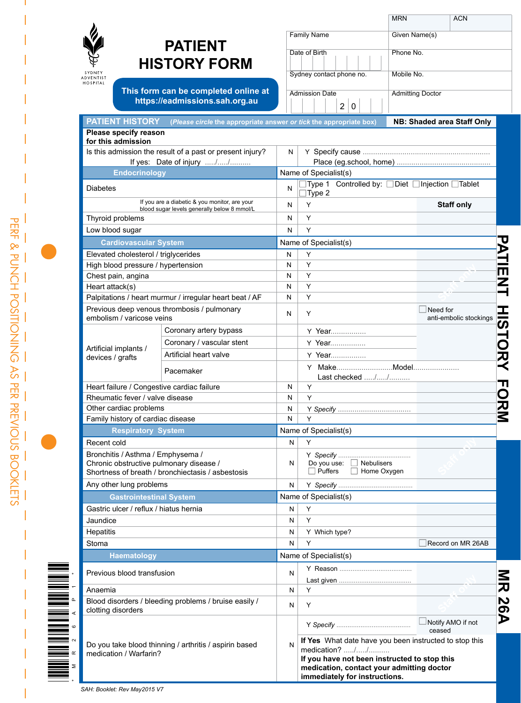

|                                        |                                        |                                                                                                        |              |                                                                          | <b>MRN</b>                 | <b>ACN</b>                         |               |
|----------------------------------------|----------------------------------------|--------------------------------------------------------------------------------------------------------|--------------|--------------------------------------------------------------------------|----------------------------|------------------------------------|---------------|
|                                        |                                        | <b>PATIENT</b><br><b>HISTORY FORM</b>                                                                  |              | <b>Family Name</b><br>Date of Birth                                      | Given Name(s)<br>Phone No. |                                    |               |
| DVENTIS <sup>-</sup><br><b>OSPITAL</b> |                                        | This form can be completed online at<br>https://eadmissions.sah.org.au                                 |              | Sydney contact phone no.<br><b>Admission Date</b><br>2 0                 | Mobile No.                 | <b>Admitting Doctor</b>            |               |
|                                        | <b>PATIENT HISTORY</b>                 | (Please circle the appropriate answer or tick the appropriate box)                                     |              |                                                                          |                            | NB: Shaded area Staff Only         |               |
|                                        | <b>Please specify reason</b>           |                                                                                                        |              |                                                                          |                            |                                    |               |
|                                        | for this admission                     |                                                                                                        |              |                                                                          |                            |                                    |               |
|                                        |                                        | Is this admission the result of a past or present injury?<br>If yes: Date of injury //                 | N            |                                                                          |                            |                                    |               |
|                                        | <b>Endocrinology</b>                   |                                                                                                        |              | Name of Specialist(s)                                                    |                            |                                    |               |
| <b>Diabetes</b>                        |                                        |                                                                                                        | ${\sf N}$    | JType 1 Controlled by: □ Diet □ Injection □ Tablet                       |                            |                                    |               |
|                                        |                                        |                                                                                                        |              | $J$ Type 2                                                               |                            |                                    |               |
|                                        |                                        | If you are a diabetic & you monitor, are your<br>blood sugar levels generally below 8 mmol/L           | N            | Υ                                                                        |                            | <b>Staff only</b>                  |               |
| Thyroid problems                       |                                        |                                                                                                        | N            | Y                                                                        |                            |                                    |               |
| Low blood sugar                        |                                        |                                                                                                        | N            | Υ                                                                        |                            |                                    |               |
|                                        | <b>Cardiovascular System</b>           |                                                                                                        |              | Name of Specialist(s)                                                    |                            |                                    | PATIE         |
|                                        | Elevated cholesterol / triglycerides   |                                                                                                        | N            | Y                                                                        |                            |                                    |               |
|                                        |                                        | High blood pressure / hypertension                                                                     | N            | Y                                                                        |                            |                                    |               |
|                                        | Chest pain, angina                     |                                                                                                        | N            | Y                                                                        |                            |                                    |               |
| Heart attack(s)                        |                                        |                                                                                                        | N<br>N       | Υ<br>Υ                                                                   |                            |                                    |               |
|                                        | embolism / varicose veins              | Palpitations / heart murmur / irregular heart beat / AF<br>Previous deep venous thrombosis / pulmonary | N            | Y                                                                        |                            | Need for<br>anti-embolic stockings |               |
|                                        |                                        | Coronary artery bypass                                                                                 |              | Y Year                                                                   |                            |                                    | <b>1971</b>   |
|                                        |                                        | Coronary / vascular stent                                                                              |              | Y Year                                                                   |                            |                                    |               |
| Artificial implants /                  |                                        | Artificial heart valve                                                                                 |              | Y Year                                                                   |                            |                                    |               |
| devices / grafts                       |                                        |                                                                                                        |              | Y MakeModel                                                              |                            |                                    | つカイ           |
|                                        |                                        | Pacemaker                                                                                              |              | Last checked $,$ / $,$ / $,$                                             |                            |                                    |               |
|                                        |                                        | Heart failure / Congestive cardiac failure                                                             | N            | Y                                                                        |                            |                                    |               |
|                                        | Rheumatic fever / valve disease        |                                                                                                        | N            | Y                                                                        |                            |                                    | O             |
|                                        | Other cardiac problems                 |                                                                                                        | N            |                                                                          |                            |                                    |               |
|                                        | Family history of cardiac disease      |                                                                                                        | N            | Y                                                                        |                            |                                    |               |
|                                        | <b>Respiratory System</b>              |                                                                                                        |              | Name of Specialist(s)                                                    |                            |                                    |               |
| Recent cold                            |                                        |                                                                                                        | N            | Y                                                                        |                            |                                    |               |
|                                        | Bronchitis / Asthma / Emphysema /      | Chronic obstructive pulmonary disease /<br>Shortness of breath / bronchiectasis / asbestosis           | N            | Do you use: □ Nebulisers<br>Puffers<br>$\Box$ Home Oxygen                |                            |                                    |               |
|                                        | Any other lung problems                |                                                                                                        | N            |                                                                          |                            |                                    |               |
|                                        | <b>Gastrointestinal System</b>         |                                                                                                        |              | Name of Specialist(s)                                                    |                            |                                    |               |
|                                        | Gastric ulcer / reflux / hiatus hernia |                                                                                                        | $\mathsf{N}$ | Υ                                                                        |                            |                                    |               |
| Jaundice                               |                                        |                                                                                                        | N            | Υ                                                                        |                            |                                    |               |
| Hepatitis                              |                                        |                                                                                                        | N            | Y Which type?                                                            |                            |                                    |               |
| Stoma                                  |                                        |                                                                                                        | N            | Υ                                                                        |                            | Record on MR 26AB                  |               |
|                                        | <b>Haematology</b>                     |                                                                                                        |              | Name of Specialist(s)                                                    |                            |                                    |               |
|                                        | Previous blood transfusion             |                                                                                                        | N            |                                                                          |                            |                                    |               |
| Anaemia                                |                                        |                                                                                                        | N            | Y                                                                        |                            |                                    |               |
| clotting disorders                     |                                        | Blood disorders / bleeding problems / bruise easily /                                                  | N            | Υ                                                                        |                            |                                    | <b>NR 26A</b> |
|                                        |                                        |                                                                                                        |              |                                                                          |                            | Notify AMO if not<br>ceased        |               |
|                                        | medication / Warfarin?                 | Do you take blood thinning / arthritis / aspirin based                                                 | N            | If Yes What date have you been instructed to stop this<br>medication? // |                            |                                    |               |

**If you have not been instructed to stop this medication, contact your admitting doctor** 

**immediately for instructions.**

PERF & PUNCH POSITIONING AS PER PREVIOUS BOOKLETS PERF & PUNCH POSITIONING AS PER PREVIOUS BOOKLETS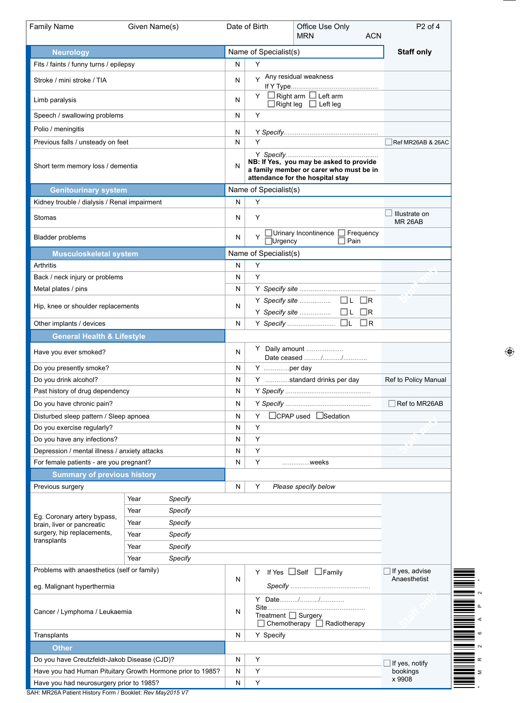| <b>Family Name</b>                                         | Given Name(s) |         |           | Date of Birth            | Office Use Only<br><b>MRN</b><br><b>ACN</b>                                                                            | P <sub>2</sub> of 4                   |
|------------------------------------------------------------|---------------|---------|-----------|--------------------------|------------------------------------------------------------------------------------------------------------------------|---------------------------------------|
| <b>Neurology</b>                                           |               |         |           | Name of Specialist(s)    |                                                                                                                        | <b>Staff only</b>                     |
| Fits / faints / funny turns / epilepsy                     |               |         | Ν         | Y                        |                                                                                                                        |                                       |
| Stroke / mini stroke / TIA                                 |               |         | N         | Y                        | Any residual weakness                                                                                                  |                                       |
| Limb paralysis                                             |               |         | N         | Y.                       | Right arm $\Box$ Left arm<br>$\Box$ Right leg $\Box$ Left leg                                                          |                                       |
| Speech / swallowing problems                               |               |         | N         | Y                        |                                                                                                                        |                                       |
| Polio / meningitis                                         |               |         |           |                          |                                                                                                                        |                                       |
| Previous falls / unsteady on feet                          |               |         | N<br>N    | Y                        |                                                                                                                        | Ref MR26AB & 26AC                     |
| Short term memory loss / dementia                          |               |         | N         |                          | NB: If Yes, you may be asked to provide<br>a family member or carer who must be in<br>attendance for the hospital stay |                                       |
| <b>Genitourinary system</b>                                |               |         |           | Name of Specialist(s)    |                                                                                                                        |                                       |
| Kidney trouble / dialysis / Renal impairment               |               |         | ${\sf N}$ | Y                        |                                                                                                                        |                                       |
| Stomas                                                     |               |         | N         | Υ                        |                                                                                                                        | Illustrate on<br><b>MR 26AB</b>       |
| <b>Bladder problems</b>                                    |               |         | ${\sf N}$ | Y<br>□Urgency            | □ Urinary Incontinence □ Frequency<br>Pain                                                                             |                                       |
| <b>Musculoskeletal system</b>                              |               |         |           | Name of Specialist(s)    |                                                                                                                        |                                       |
| Arthritis                                                  |               |         | N         | Y                        |                                                                                                                        |                                       |
| Back / neck injury or problems                             |               |         | N         | Y                        |                                                                                                                        |                                       |
| Metal plates / pins                                        |               |         | N         |                          |                                                                                                                        |                                       |
| Hip, knee or shoulder replacements                         |               |         | N         |                          |                                                                                                                        |                                       |
| Other implants / devices                                   |               |         | N         |                          | $\Box$ R                                                                                                               |                                       |
| <b>General Health &amp; Lifestyle</b>                      |               |         |           |                          |                                                                                                                        |                                       |
| Have you ever smoked?                                      |               |         | N         | Y.                       | Daily amount<br>Date ceased //                                                                                         |                                       |
| Do you presently smoke?                                    |               |         | N         | Y per day                |                                                                                                                        |                                       |
| Do you drink alcohol?                                      |               |         | N         |                          | Y standard drinks per day                                                                                              | Ref to Policy Manual                  |
| Past history of drug dependency                            |               |         | N         |                          | Y Specify                                                                                                              |                                       |
| Do you have chronic pain?                                  |               |         | N         |                          |                                                                                                                        | $\Box$ Ref to MR26AB                  |
| Disturbed sleep pattern / Sleep apnoea                     |               |         | N         | Y                        | □CPAP used □Sedation                                                                                                   |                                       |
| Do you exercise regularly?                                 |               |         | N         | Y                        |                                                                                                                        |                                       |
| Do you have any infections?                                |               |         | N         | Υ                        |                                                                                                                        |                                       |
| Depression / mental illness / anxiety attacks              |               |         | N         | Y                        |                                                                                                                        |                                       |
| For female patients - are you pregnant?                    |               |         | N         | Υ                        | weeks                                                                                                                  |                                       |
| <b>Summary of previous history</b>                         |               |         |           |                          |                                                                                                                        |                                       |
| Previous surgery                                           |               |         | ${\sf N}$ | Υ                        | Please specify below                                                                                                   |                                       |
|                                                            | Year          | Specify |           |                          |                                                                                                                        |                                       |
| Eg. Coronary artery bypass,                                | Year          | Specify |           |                          |                                                                                                                        |                                       |
| brain, liver or pancreatic                                 | Year          | Specify |           |                          |                                                                                                                        |                                       |
| surgery, hip replacements,<br>transplants                  | Year          | Specify |           |                          |                                                                                                                        |                                       |
|                                                            | Year          | Specify |           |                          |                                                                                                                        |                                       |
|                                                            | Year          | Specify |           |                          |                                                                                                                        |                                       |
| Problems with anaesthetics (self or family)                |               |         | N         |                          | $Y$ If Yes $\Box$ Self $\Box$ Family                                                                                   | $\Box$ If yes, advise<br>Anaesthetist |
| eg. Malignant hyperthermia                                 |               |         |           |                          |                                                                                                                        |                                       |
| Cancer / Lymphoma / Leukaemia                              |               |         | ${\sf N}$ | Treatment $\Box$ Surgery | Y Date//<br>$\Box$ Chemotherapy $\Box$ Radiotherapy                                                                    |                                       |
| Transplants                                                |               |         | N         | Y Specify                |                                                                                                                        |                                       |
| <b>Other</b>                                               |               |         |           |                          |                                                                                                                        |                                       |
| Do you have Creutzfeldt-Jakob Disease (CJD)?               |               |         | N         | Y                        |                                                                                                                        | $\Box$ If yes, notify                 |
| Have you had Human Pituitary Growth Hormone prior to 1985? |               |         | N         | Y                        |                                                                                                                        | bookings                              |
| Have you had neurosurgery prior to 1985?                   |               |         | N         | Υ                        |                                                                                                                        | x 9908                                |

 $\bigoplus$ 

SAH: MR26A Patient History Form / Booklet: *Rev May2015 V7*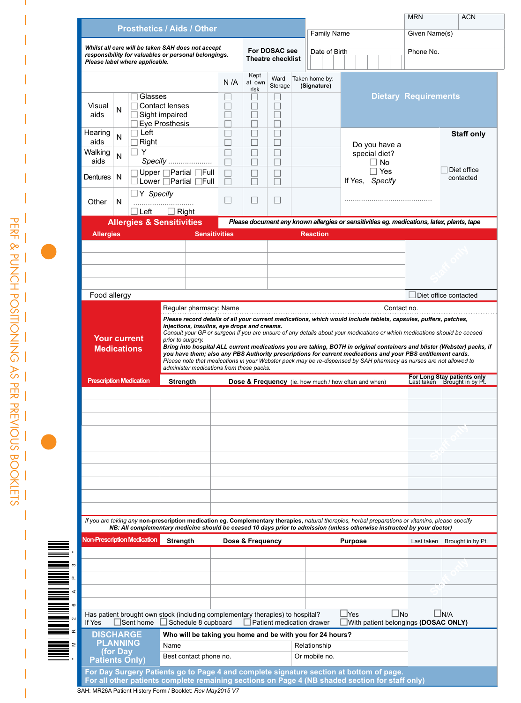|                                                                                                                                             |           |                  |                                      |                   |                                                                   |                                                                                                                   |                  |                                                  |                                                                                            |                                                                                                                                                                                                                                                                                                                                                                                                                                                                                                                                                                                                             |              | <b>MRN</b>                  |               | <b>ACN</b>                                                                       |
|---------------------------------------------------------------------------------------------------------------------------------------------|-----------|------------------|--------------------------------------|-------------------|-------------------------------------------------------------------|-------------------------------------------------------------------------------------------------------------------|------------------|--------------------------------------------------|--------------------------------------------------------------------------------------------|-------------------------------------------------------------------------------------------------------------------------------------------------------------------------------------------------------------------------------------------------------------------------------------------------------------------------------------------------------------------------------------------------------------------------------------------------------------------------------------------------------------------------------------------------------------------------------------------------------------|--------------|-----------------------------|---------------|----------------------------------------------------------------------------------|
|                                                                                                                                             |           |                  |                                      |                   | <b>Prosthetics / Aids / Other</b>                                 |                                                                                                                   |                  |                                                  | <b>Family Name</b>                                                                         |                                                                                                                                                                                                                                                                                                                                                                                                                                                                                                                                                                                                             |              | Given Name(s)               |               |                                                                                  |
| Whilst all care will be taken SAH does not accept<br>responsibility for valuables or personal belongings.<br>Please label where applicable. |           |                  |                                      |                   |                                                                   |                                                                                                                   |                  | <b>For DOSAC see</b><br><b>Theatre checklist</b> | Date of Birth                                                                              |                                                                                                                                                                                                                                                                                                                                                                                                                                                                                                                                                                                                             |              | Phone No.                   |               |                                                                                  |
|                                                                                                                                             |           |                  |                                      |                   |                                                                   | N/A                                                                                                               | Kept<br>at own   | Ward<br>Storage                                  | Taken home by:<br>(Signature)                                                              |                                                                                                                                                                                                                                                                                                                                                                                                                                                                                                                                                                                                             |              |                             |               |                                                                                  |
| Visual<br>aids                                                                                                                              | N         | Glasses          | Contact lenses<br>Sight impaired     |                   |                                                                   |                                                                                                                   | risk             |                                                  |                                                                                            |                                                                                                                                                                                                                                                                                                                                                                                                                                                                                                                                                                                                             |              | <b>Dietary Requirements</b> |               |                                                                                  |
| Hearing<br>aids                                                                                                                             | ${\sf N}$ | Left<br>Right    | <b>Eye Prosthesis</b>                |                   |                                                                   |                                                                                                                   |                  |                                                  |                                                                                            |                                                                                                                                                                                                                                                                                                                                                                                                                                                                                                                                                                                                             |              |                             |               | <b>Staff only</b>                                                                |
| Walking<br>aids                                                                                                                             | N         | Y                |                                      |                   | Specify                                                           | $\Box$                                                                                                            |                  |                                                  |                                                                                            | Do you have a<br>special diet?                                                                                                                                                                                                                                                                                                                                                                                                                                                                                                                                                                              | No           |                             |               |                                                                                  |
| Dentures                                                                                                                                    | N         |                  |                                      |                   | Upper □ Partial □ Full<br>$\Box$ Lower $\Box$ Partial $\Box$ Full | $\Box$<br>$\Box$                                                                                                  |                  |                                                  |                                                                                            | If Yes, Specify                                                                                                                                                                                                                                                                                                                                                                                                                                                                                                                                                                                             | Yes          |                             |               | Diet office<br>contacted                                                         |
| Other                                                                                                                                       | N         | $\Box$ Left      | Y Specify                            | $\Box$ Right      |                                                                   | $\Box$                                                                                                            | $\mathcal{A}$    | . I                                              |                                                                                            |                                                                                                                                                                                                                                                                                                                                                                                                                                                                                                                                                                                                             |              |                             |               |                                                                                  |
|                                                                                                                                             |           |                  | <b>Allergies &amp; Sensitivities</b> |                   |                                                                   |                                                                                                                   |                  |                                                  |                                                                                            | Please document any known allergies or sensitivities eg. medications, latex, plants, tape                                                                                                                                                                                                                                                                                                                                                                                                                                                                                                                   |              |                             |               |                                                                                  |
| Food allergy                                                                                                                                |           |                  |                                      |                   |                                                                   |                                                                                                                   |                  |                                                  |                                                                                            |                                                                                                                                                                                                                                                                                                                                                                                                                                                                                                                                                                                                             |              |                             |               |                                                                                  |
| <b>Your current</b><br><b>Medications</b>                                                                                                   |           |                  |                                      | prior to surgery. |                                                                   | Regular pharmacy: Name<br>injections, insulins, eye drops and creams.<br>administer medications from these packs. |                  |                                                  |                                                                                            | Please record details of all your current medications, which would include tablets, capsules, puffers, patches,<br>Consult your GP or surgeon if you are unsure of any details about your medications or which medications should be ceased<br>Bring into hospital ALL current medications you are taking, BOTH in original containers and blister (Webster) packs, if<br>you have them; also any PBS Authority prescriptions for current medications and your PBS entitlement cards.<br>Please note that medications in your Webster pack may be re-dispensed by SAH pharmacy as nurses are not allowed to | Contact no.  |                             |               | Diet office contacted                                                            |
| <b>Prescription Medication</b>                                                                                                              |           |                  |                                      | Strength          |                                                                   |                                                                                                                   |                  |                                                  |                                                                                            | <b>Dose &amp; Frequency</b> (ie. how much / how often and when)                                                                                                                                                                                                                                                                                                                                                                                                                                                                                                                                             |              |                             |               |                                                                                  |
|                                                                                                                                             |           |                  |                                      |                   |                                                                   |                                                                                                                   |                  |                                                  |                                                                                            |                                                                                                                                                                                                                                                                                                                                                                                                                                                                                                                                                                                                             |              |                             |               |                                                                                  |
|                                                                                                                                             |           |                  |                                      |                   |                                                                   |                                                                                                                   |                  |                                                  |                                                                                            |                                                                                                                                                                                                                                                                                                                                                                                                                                                                                                                                                                                                             |              |                             |               |                                                                                  |
|                                                                                                                                             |           |                  |                                      |                   |                                                                   |                                                                                                                   |                  |                                                  |                                                                                            |                                                                                                                                                                                                                                                                                                                                                                                                                                                                                                                                                                                                             |              |                             |               |                                                                                  |
|                                                                                                                                             |           |                  |                                      |                   |                                                                   |                                                                                                                   |                  |                                                  |                                                                                            |                                                                                                                                                                                                                                                                                                                                                                                                                                                                                                                                                                                                             |              |                             |               |                                                                                  |
|                                                                                                                                             |           |                  |                                      |                   |                                                                   |                                                                                                                   |                  |                                                  |                                                                                            |                                                                                                                                                                                                                                                                                                                                                                                                                                                                                                                                                                                                             |              |                             |               |                                                                                  |
|                                                                                                                                             |           |                  |                                      |                   |                                                                   |                                                                                                                   |                  |                                                  |                                                                                            | If you are taking any non-prescription medication eg. Complementary therapies, natural therapies, herbal preparations or vitamins, please specify                                                                                                                                                                                                                                                                                                                                                                                                                                                           |              |                             |               |                                                                                  |
|                                                                                                                                             |           |                  |                                      |                   |                                                                   |                                                                                                                   |                  |                                                  |                                                                                            | NB: All complementary medicine should be ceased 10 days prior to admission (unless otherwise instructed by your doctor)                                                                                                                                                                                                                                                                                                                                                                                                                                                                                     |              |                             |               |                                                                                  |
| <b>Non-Prescription Medication</b>                                                                                                          |           |                  |                                      | <b>Strength</b>   |                                                                   |                                                                                                                   | Dose & Frequency |                                                  |                                                                                            | <b>Purpose</b>                                                                                                                                                                                                                                                                                                                                                                                                                                                                                                                                                                                              |              | Last taken                  |               |                                                                                  |
|                                                                                                                                             |           |                  |                                      |                   |                                                                   |                                                                                                                   |                  |                                                  |                                                                                            |                                                                                                                                                                                                                                                                                                                                                                                                                                                                                                                                                                                                             |              |                             |               |                                                                                  |
|                                                                                                                                             |           |                  |                                      |                   |                                                                   |                                                                                                                   |                  |                                                  |                                                                                            |                                                                                                                                                                                                                                                                                                                                                                                                                                                                                                                                                                                                             |              |                             |               |                                                                                  |
| Has patient brought own stock (including complementary therapies) to hospital?<br>If Yes                                                    |           | $\Box$ Sent home |                                      |                   | $\Box$ Schedule 8 cupboard                                        |                                                                                                                   |                  | $\Box$ Patient medication drawer                 |                                                                                            | $\Box$ Yes<br>$\Box$ With patient belongings (DOSAC ONLY)                                                                                                                                                                                                                                                                                                                                                                                                                                                                                                                                                   | $\square$ No |                             | $\square$ n/a |                                                                                  |
| <b>DISCHARGE</b><br><b>PLANNING</b>                                                                                                         | (for Day  |                  |                                      | Name              | Best contact phone no.                                            |                                                                                                                   |                  |                                                  | Who will be taking you home and be with you for 24 hours?<br>Relationship<br>Or mobile no. |                                                                                                                                                                                                                                                                                                                                                                                                                                                                                                                                                                                                             |              |                             |               | For Long Stay patients only<br>Last taken Brought in by Pt.<br>Brought in by Pt. |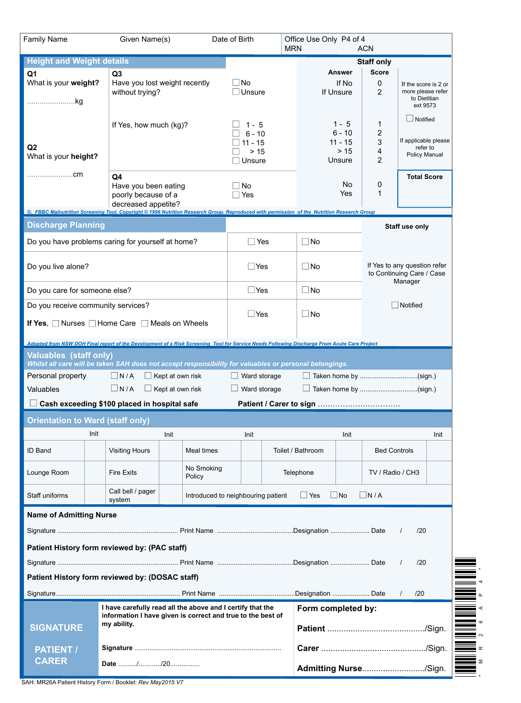| <b>Family Name</b>                                                                                                                          | Given Name(s)                                                                                                                            |                                    | Date of Birth                                |  | Office Use Only P4 of 4<br><b>MRN</b><br><b>ACN</b> |                              |                                                                      |                                                                       |      |
|---------------------------------------------------------------------------------------------------------------------------------------------|------------------------------------------------------------------------------------------------------------------------------------------|------------------------------------|----------------------------------------------|--|-----------------------------------------------------|------------------------------|----------------------------------------------------------------------|-----------------------------------------------------------------------|------|
| <b>Height and Weight details</b>                                                                                                            |                                                                                                                                          |                                    |                                              |  |                                                     |                              | <b>Staff only</b>                                                    |                                                                       |      |
| Q <sub>1</sub>                                                                                                                              | Q <sub>3</sub>                                                                                                                           |                                    |                                              |  |                                                     | <b>Answer</b>                | <b>Score</b>                                                         |                                                                       |      |
| What is your weight?                                                                                                                        | Have you lost weight recently<br>without trying?                                                                                         |                                    | $\lrcorner$ No<br>$\Box$ Unsure              |  |                                                     | If No<br>If Unsure           | 0<br>2                                                               | If the score is 2 or<br>more please refer<br>to Dietitian<br>ext 9573 |      |
|                                                                                                                                             | If Yes, how much (kg)?                                                                                                                   |                                    | $1 - 5$<br>$6 - 10$                          |  |                                                     | 1 - 5<br>$6 - 10$            | 1<br>$\overline{2}$                                                  | $\Box$ Notified                                                       |      |
| Q <sub>2</sub><br>What is your height?                                                                                                      |                                                                                                                                          |                                    | $11 - 15$<br>$>15$<br>Unsure                 |  |                                                     | $11 - 15$<br>$>15$<br>Unsure | $\mathsf 3$<br>4<br>2                                                | If applicable please<br>refer to<br>Policy Manual                     |      |
|                                                                                                                                             | Q4<br>Have you been eating<br>poorly because of a<br>decreased appetite?                                                                 |                                    | $\Box$ No<br>$\Box$ Yes                      |  |                                                     | No<br>Yes                    | 0<br>1                                                               | <b>Total Score</b>                                                    |      |
| ©. FBBC Malnutrition Screening Tool, Copyright © 1996 Nutrition Research Group. Reproduced with permission of the Nutrition Research Group  |                                                                                                                                          |                                    |                                              |  |                                                     |                              |                                                                      |                                                                       |      |
| <b>Discharge Planning</b>                                                                                                                   |                                                                                                                                          |                                    |                                              |  |                                                     |                              | Staff use only                                                       |                                                                       |      |
| Do you have problems caring for yourself at home?                                                                                           |                                                                                                                                          |                                    | $\Box$ Yes                                   |  | $\square$ No                                        |                              |                                                                      |                                                                       |      |
| Do you live alone?                                                                                                                          |                                                                                                                                          |                                    | $\Box$ Yes                                   |  | $\Box$ No                                           |                              | If Yes to any question refer<br>to Continuing Care / Case<br>Manager |                                                                       |      |
| Do you care for someone else?                                                                                                               |                                                                                                                                          |                                    | $\Box$ Yes                                   |  | l No                                                |                              |                                                                      |                                                                       |      |
| Do you receive community services?                                                                                                          |                                                                                                                                          |                                    |                                              |  |                                                     |                              |                                                                      | $\Box$ Notified                                                       |      |
| If Yes, $\Box$ Nurses $\Box$ Home Care $\Box$ Meals on Wheels                                                                               |                                                                                                                                          |                                    | $\sqsupset$ Yes                              |  | <b>No</b>                                           |                              |                                                                      |                                                                       |      |
| Adopted from NSW DOH Final report of the Development of a Risk Screening Tool for Service Needs Following Discharge From Acute Care Project |                                                                                                                                          |                                    |                                              |  |                                                     |                              |                                                                      |                                                                       |      |
| <b>Valuables (staff only)</b>                                                                                                               |                                                                                                                                          |                                    |                                              |  |                                                     |                              |                                                                      |                                                                       |      |
| Whilst all care will be taken SAH does not accept responsibility for valuables or personal belongings.                                      |                                                                                                                                          |                                    |                                              |  |                                                     |                              |                                                                      |                                                                       |      |
| Personal property                                                                                                                           | $\Box$ N/A<br>$\Box$ Kept at own risk                                                                                                    |                                    | Ward storage                                 |  |                                                     | Taken home by (sign.)        |                                                                      |                                                                       |      |
| Valuables                                                                                                                                   | $\Box$ N/A<br>$\Box$ Kept at own risk                                                                                                    |                                    | Taken home by (sign.)<br>$\Box$ Ward storage |  |                                                     |                              |                                                                      |                                                                       |      |
|                                                                                                                                             | Cash exceeding \$100 placed in hospital safe                                                                                             |                                    |                                              |  |                                                     |                              |                                                                      |                                                                       |      |
| <b>Orientation to Ward (staff only)</b>                                                                                                     |                                                                                                                                          |                                    |                                              |  |                                                     |                              |                                                                      |                                                                       |      |
| Init                                                                                                                                        | Init                                                                                                                                     |                                    | Init                                         |  |                                                     | Init                         |                                                                      |                                                                       | Init |
| <b>ID Band</b>                                                                                                                              | <b>Visiting Hours</b>                                                                                                                    | Meal times                         |                                              |  | Toilet / Bathroom                                   |                              | <b>Bed Controls</b>                                                  |                                                                       |      |
| Lounge Room                                                                                                                                 | <b>Fire Exits</b>                                                                                                                        | No Smoking<br>Policy               |                                              |  | Telephone                                           |                              | TV / Radio / CH3                                                     |                                                                       |      |
| Staff uniforms                                                                                                                              | Call bell / pager<br>system                                                                                                              | Introduced to neighbouring patient |                                              |  | $\Box$ Yes                                          | $\Box$ No                    | $\Box N/A$                                                           |                                                                       |      |
| <b>Name of Admitting Nurse</b>                                                                                                              |                                                                                                                                          |                                    |                                              |  |                                                     |                              |                                                                      |                                                                       |      |
|                                                                                                                                             |                                                                                                                                          |                                    |                                              |  |                                                     |                              |                                                                      | /20                                                                   |      |
| Patient History form reviewed by: (PAC staff)                                                                                               |                                                                                                                                          |                                    |                                              |  |                                                     |                              |                                                                      |                                                                       |      |
|                                                                                                                                             |                                                                                                                                          |                                    |                                              |  |                                                     |                              |                                                                      | /20                                                                   |      |
| Patient History form reviewed by: (DOSAC staff)                                                                                             |                                                                                                                                          |                                    |                                              |  |                                                     |                              |                                                                      |                                                                       |      |
|                                                                                                                                             |                                                                                                                                          |                                    |                                              |  |                                                     |                              |                                                                      | /20                                                                   |      |
|                                                                                                                                             | I have carefully read all the above and I certify that the<br>information I have given is correct and true to the best of<br>my ability. |                                    |                                              |  | Form completed by:                                  |                              |                                                                      |                                                                       |      |
| <b>SIGNATURE</b>                                                                                                                            |                                                                                                                                          |                                    |                                              |  |                                                     |                              |                                                                      |                                                                       |      |
| <b>PATIENT /</b><br><b>CARER</b>                                                                                                            |                                                                                                                                          |                                    |                                              |  |                                                     |                              |                                                                      |                                                                       |      |
|                                                                                                                                             |                                                                                                                                          |                                    |                                              |  | Admitting Nurse/Sign.                               |                              |                                                                      |                                                                       |      |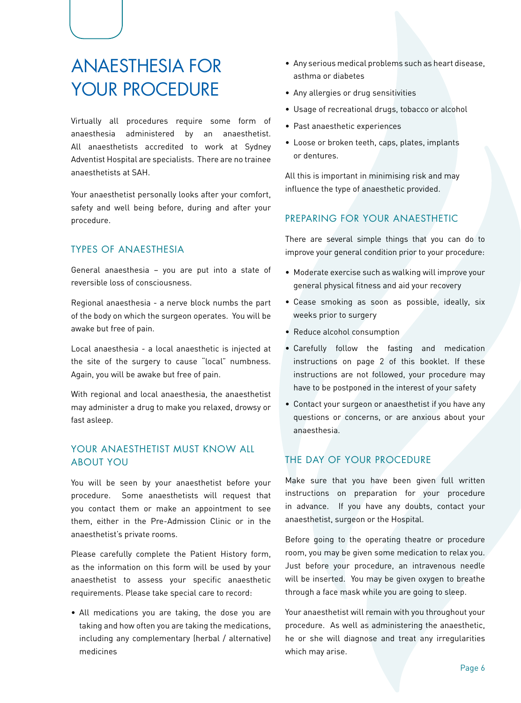### ANAESTHESIA FOR YOUR PROCEDURE

Virtually all procedures require some form of anaesthesia administered by an anaesthetist. All anaesthetists accredited to work at Sydney Adventist Hospital are specialists. There are no trainee anaesthetists at SAH.

Your anaesthetist personally looks after your comfort, safety and well being before, during and after your procedure.

### TYPES OF ANAESTHESIA

General anaesthesia – you are put into a state of reversible loss of consciousness.

Regional anaesthesia - a nerve block numbs the part of the body on which the surgeon operates. You will be awake but free of pain.

Local anaesthesia - a local anaesthetic is injected at the site of the surgery to cause "local" numbness. Again, you will be awake but free of pain.

With regional and local anaesthesia, the anaesthetist may administer a drug to make you relaxed, drowsy or fast asleep.

### YOUR ANAESTHETIST MUST KNOW ALL ABOUT YOU

You will be seen by your anaesthetist before your procedure. Some anaesthetists will request that you contact them or make an appointment to see them, either in the Pre-Admission Clinic or in the anaesthetist's private rooms.

Please carefully complete the Patient History form, as the information on this form will be used by your anaesthetist to assess your specific anaesthetic requirements. Please take special care to record:

• All medications you are taking, the dose you are taking and how often you are taking the medications, including any complementary (herbal / alternative) medicines

- Any serious medical problems such as heart disease, asthma or diabetes
- Any allergies or drug sensitivities
- Usage of recreational drugs, tobacco or alcohol
- Past anaesthetic experiences
- Loose or broken teeth, caps, plates, implants or dentures.

All this is important in minimising risk and may influence the type of anaesthetic provided.

### PREPARING FOR YOUR ANAESTHETIC

There are several simple things that you can do to improve your general condition prior to your procedure:

- Moderate exercise such as walking will improve your general physical fitness and aid your recovery
- Cease smoking as soon as possible, ideally, six weeks prior to surgery
- Reduce alcohol consumption
- Carefully follow the fasting and medication instructions on page 2 of this booklet. If these instructions are not followed, your procedure may have to be postponed in the interest of your safety
- Contact your surgeon or anaesthetist if you have any questions or concerns, or are anxious about your anaesthesia.

### THE DAY OF YOUR PROCEDURE

Make sure that you have been given full written instructions on preparation for your procedure in advance. If you have any doubts, contact your anaesthetist, surgeon or the Hospital.

Before going to the operating theatre or procedure room, you may be given some medication to relax you. Just before your procedure, an intravenous needle will be inserted. You may be given oxygen to breathe through a face mask while you are going to sleep.

Your anaesthetist will remain with you throughout your procedure. As well as administering the anaesthetic, he or she will diagnose and treat any irregularities which may arise.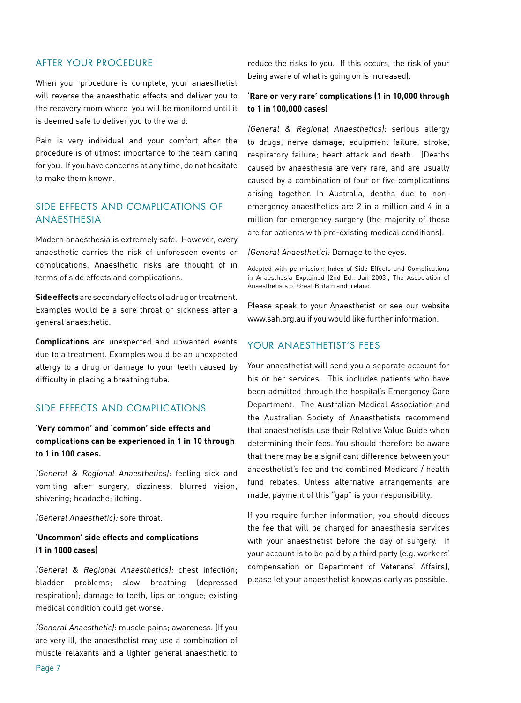#### AFTER YOUR PROCEDURE

When your procedure is complete, your anaesthetist will reverse the anaesthetic effects and deliver you to the recovery room where you will be monitored until it is deemed safe to deliver you to the ward.

Pain is very individual and your comfort after the procedure is of utmost importance to the team caring for you. If you have concerns at any time, do not hesitate to make them known.

### SIDE EFFECTS AND COMPLICATIONS OF ANAESTHESIA

Modern anaesthesia is extremely safe. However, every anaesthetic carries the risk of unforeseen events or complications. Anaesthetic risks are thought of in terms of side effects and complications.

**Side effects** are secondary effects of a drug or treatment. Examples would be a sore throat or sickness after a general anaesthetic.

**Complications** are unexpected and unwanted events due to a treatment. Examples would be an unexpected allergy to a drug or damage to your teeth caused by difficulty in placing a breathing tube.

### SIDE EFFECTS AND COMPLICATIONS

**'Very common' and 'common' side effects and complications can be experienced in 1 in 10 through to 1 in 100 cases.** 

(General & Regional Anaesthetics): feeling sick and vomiting after surgery; dizziness; blurred vision; shivering; headache; itching.

(General Anaesthetic): sore throat.

### **'Uncommon' side effects and complications (1 in 1000 cases)**

(General & Regional Anaesthetics): chest infection; bladder problems; slow breathing (depressed respiration); damage to teeth, lips or tongue; existing medical condition could get worse.

(General Anaesthetic): muscle pains; awareness. (If you are very ill, the anaesthetist may use a combination of muscle relaxants and a lighter general anaesthetic to

reduce the risks to you. If this occurs, the risk of your being aware of what is going on is increased).

### **'Rare or very rare' complications (1 in 10,000 through to 1 in 100,000 cases)**

(General & Regional Anaesthetics): serious allergy to drugs; nerve damage; equipment failure; stroke; respiratory failure; heart attack and death. (Deaths caused by anaesthesia are very rare, and are usually caused by a combination of four or five complications arising together. In Australia, deaths due to nonemergency anaesthetics are 2 in a million and 4 in a million for emergency surgery (the majority of these are for patients with pre-existing medical conditions).

(General Anaesthetic): Damage to the eyes.

Adapted with permission: Index of Side Effects and Complications in Anaesthesia Explained (2nd Ed., Jan 2003), The Association of Anaesthetists of Great Britain and Ireland.

Please speak to your Anaesthetist or see our website www.sah.org.au if you would like further information.

#### YOUR ANAESTHETIST'S FEES

Your anaesthetist will send you a separate account for his or her services. This includes patients who have been admitted through the hospital's Emergency Care Department. The Australian Medical Association and the Australian Society of Anaesthetists recommend that anaesthetists use their Relative Value Guide when determining their fees. You should therefore be aware that there may be a significant difference between your anaesthetist's fee and the combined Medicare / health fund rebates. Unless alternative arrangements are made, payment of this "gap" is your responsibility.

If you require further information, you should discuss the fee that will be charged for anaesthesia services with your anaesthetist before the day of surgery. If your account is to be paid by a third party (e.g. workers' compensation or Department of Veterans' Affairs), please let your anaesthetist know as early as possible.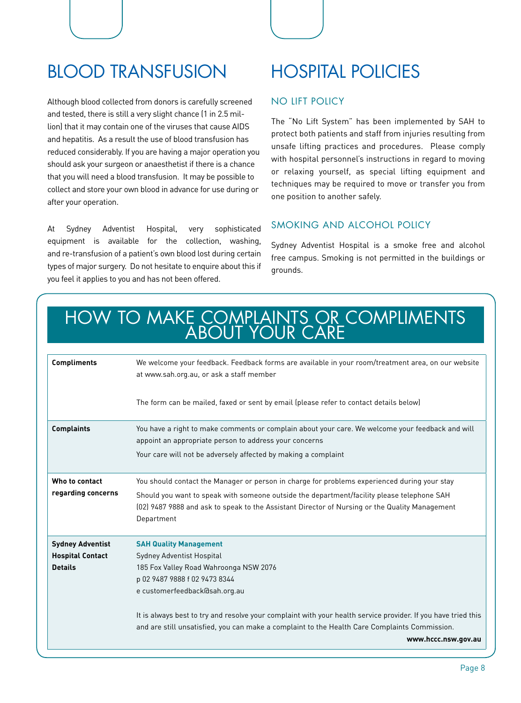### BLOOD TRANSFUSION

Although blood collected from donors is carefully screened and tested, there is still a very slight chance (1 in 2.5 million) that it may contain one of the viruses that cause AIDS and hepatitis. As a result the use of blood transfusion has reduced considerably. If you are having a major operation you should ask your surgeon or anaesthetist if there is a chance that you will need a blood transfusion. It may be possible to collect and store your own blood in advance for use during or after your operation.

At Sydney Adventist Hospital, very sophisticated equipment is available for the collection, washing, and re-transfusion of a patient's own blood lost during certain types of major surgery. Do not hesitate to enquire about this if you feel it applies to you and has not been offered.

### HOSPITAL POLICIES

### NO LIFT POLICY

The "No Lift System" has been implemented by SAH to protect both patients and staff from injuries resulting from unsafe lifting practices and procedures. Please comply with hospital personnel's instructions in regard to moving or relaxing yourself, as special lifting equipment and techniques may be required to move or transfer you from one position to another safely.

### SMOKING AND ALCOHOL POLICY

Sydney Adventist Hospital is a smoke free and alcohol free campus. Smoking is not permitted in the buildings or grounds.

### HOW TO MAKE COMPLAINTS OR COMPLIMENTS ABOUT YOUR CARE

| <b>Compliments</b>                                                   | We welcome your feedback. Feedback forms are available in your room/treatment area, on our website<br>at www.sah.org.au, or ask a staff member                                                                                                                                                                                                                                                                         |
|----------------------------------------------------------------------|------------------------------------------------------------------------------------------------------------------------------------------------------------------------------------------------------------------------------------------------------------------------------------------------------------------------------------------------------------------------------------------------------------------------|
|                                                                      | The form can be mailed, faxed or sent by email (please refer to contact details below)                                                                                                                                                                                                                                                                                                                                 |
| <b>Complaints</b>                                                    | You have a right to make comments or complain about your care. We welcome your feedback and will<br>appoint an appropriate person to address your concerns<br>Your care will not be adversely affected by making a complaint                                                                                                                                                                                           |
| Who to contact<br>regarding concerns                                 | You should contact the Manager or person in charge for problems experienced during your stay<br>Should you want to speak with someone outside the department/facility please telephone SAH<br>(02) 9487 9888 and ask to speak to the Assistant Director of Nursing or the Quality Management<br>Department                                                                                                             |
| <b>Sydney Adventist</b><br><b>Hospital Contact</b><br><b>Details</b> | <b>SAH Quality Management</b><br><b>Sydney Adventist Hospital</b><br>185 Fox Valley Road Wahroonga NSW 2076<br>p 02 9487 9888 f 02 9473 8344<br>e customerfeedback@sah.org.au<br>It is always best to try and resolve your complaint with your health service provider. If you have tried this<br>and are still unsatisfied, you can make a complaint to the Health Care Complaints Commission.<br>www.hccc.nsw.gov.au |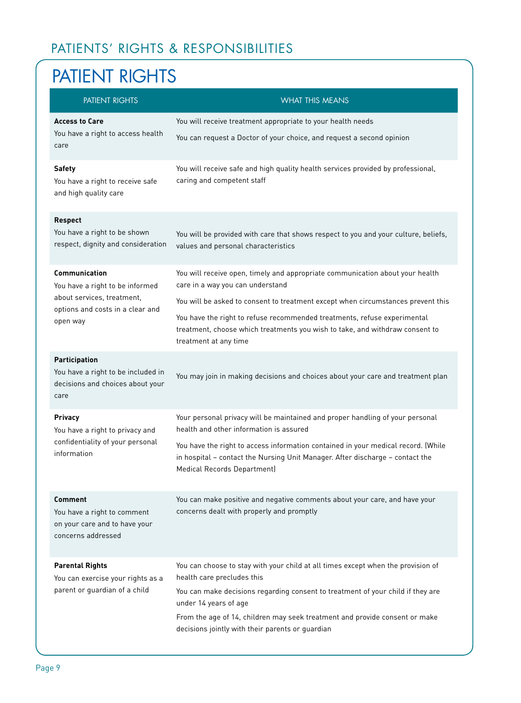### PATIENTS' RIGHTS & RESPONSIBILITIES

### PATIENT RIGHTS

| <b>PATIENT RIGHTS</b>                                                                                                          | <b>WHAT THIS MEANS</b>                                                                                                                                                                                                                                                                                                                                                                     |
|--------------------------------------------------------------------------------------------------------------------------------|--------------------------------------------------------------------------------------------------------------------------------------------------------------------------------------------------------------------------------------------------------------------------------------------------------------------------------------------------------------------------------------------|
| <b>Access to Care</b><br>You have a right to access health<br>care                                                             | You will receive treatment appropriate to your health needs<br>You can request a Doctor of your choice, and request a second opinion                                                                                                                                                                                                                                                       |
| <b>Safety</b><br>You have a right to receive safe<br>and high quality care                                                     | You will receive safe and high quality health services provided by professional,<br>caring and competent staff                                                                                                                                                                                                                                                                             |
| <b>Respect</b><br>You have a right to be shown<br>respect, dignity and consideration                                           | You will be provided with care that shows respect to you and your culture, beliefs,<br>values and personal characteristics                                                                                                                                                                                                                                                                 |
| Communication<br>You have a right to be informed<br>about services, treatment,<br>options and costs in a clear and<br>open way | You will receive open, timely and appropriate communication about your health<br>care in a way you can understand<br>You will be asked to consent to treatment except when circumstances prevent this<br>You have the right to refuse recommended treatments, refuse experimental<br>treatment, choose which treatments you wish to take, and withdraw consent to<br>treatment at any time |
| Participation<br>You have a right to be included in<br>decisions and choices about your<br>care                                | You may join in making decisions and choices about your care and treatment plan                                                                                                                                                                                                                                                                                                            |
| Privacy<br>You have a right to privacy and<br>confidentiality of your personal<br>information                                  | Your personal privacy will be maintained and proper handling of your personal<br>health and other information is assured<br>You have the right to access information contained in your medical record. (While<br>in hospital - contact the Nursing Unit Manager. After discharge - contact the<br><b>Medical Records Department)</b>                                                       |
| Comment<br>You have a right to comment<br>on your care and to have your<br>concerns addressed                                  | You can make positive and negative comments about your care, and have your<br>concerns dealt with properly and promptly                                                                                                                                                                                                                                                                    |
| <b>Parental Rights</b><br>You can exercise your rights as a<br>parent or guardian of a child                                   | You can choose to stay with your child at all times except when the provision of<br>health care precludes this<br>You can make decisions regarding consent to treatment of your child if they are<br>under 14 years of age<br>From the age of 14, children may seek treatment and provide consent or make<br>decisions jointly with their parents or guardian                              |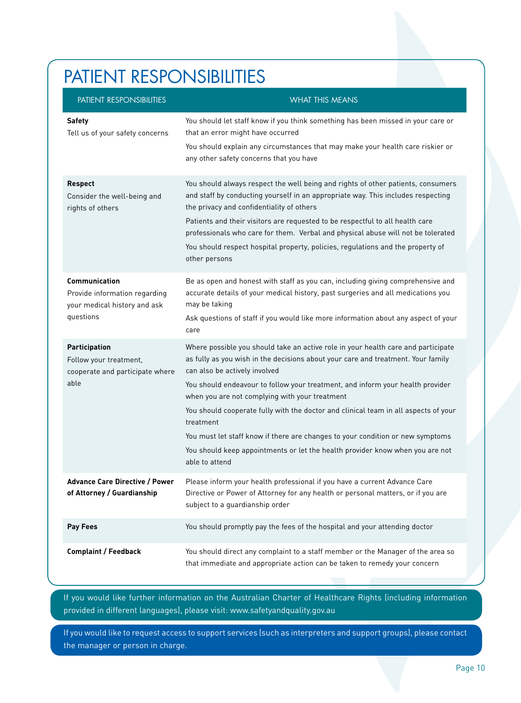## PATIENT RESPONSIBILITIES

| PATIENT RESPONSIBILITIES                                                                    | <b>WHAT THIS MEANS</b>                                                                                                                                                                                                                                                                                                                                                                                                                                                                                                                                                                                                              |
|---------------------------------------------------------------------------------------------|-------------------------------------------------------------------------------------------------------------------------------------------------------------------------------------------------------------------------------------------------------------------------------------------------------------------------------------------------------------------------------------------------------------------------------------------------------------------------------------------------------------------------------------------------------------------------------------------------------------------------------------|
| <b>Safety</b><br>Tell us of your safety concerns                                            | You should let staff know if you think something has been missed in your care or<br>that an error might have occurred<br>You should explain any circumstances that may make your health care riskier or<br>any other safety concerns that you have                                                                                                                                                                                                                                                                                                                                                                                  |
| <b>Respect</b><br>Consider the well-being and<br>rights of others                           | You should always respect the well being and rights of other patients, consumers<br>and staff by conducting yourself in an appropriate way. This includes respecting<br>the privacy and confidentiality of others<br>Patients and their visitors are requested to be respectful to all health care<br>professionals who care for them. Verbal and physical abuse will not be tolerated<br>You should respect hospital property, policies, regulations and the property of<br>other persons                                                                                                                                          |
| Communication<br>Provide information regarding<br>your medical history and ask<br>questions | Be as open and honest with staff as you can, including giving comprehensive and<br>accurate details of your medical history, past surgeries and all medications you<br>may be taking<br>Ask questions of staff if you would like more information about any aspect of your<br>care                                                                                                                                                                                                                                                                                                                                                  |
| Participation<br>Follow your treatment,<br>cooperate and participate where<br>able          | Where possible you should take an active role in your health care and participate<br>as fully as you wish in the decisions about your care and treatment. Your family<br>can also be actively involved<br>You should endeavour to follow your treatment, and inform your health provider<br>when you are not complying with your treatment<br>You should cooperate fully with the doctor and clinical team in all aspects of your<br>treatment<br>You must let staff know if there are changes to your condition or new symptoms<br>You should keep appointments or let the health provider know when you are not<br>able to attend |
| <b>Advance Care Directive / Power</b><br>of Attorney / Guardianship                         | Please inform your health professional if you have a current Advance Care<br>Directive or Power of Attorney for any health or personal matters, or if you are<br>subject to a guardianship order                                                                                                                                                                                                                                                                                                                                                                                                                                    |
| <b>Pay Fees</b>                                                                             | You should promptly pay the fees of the hospital and your attending doctor                                                                                                                                                                                                                                                                                                                                                                                                                                                                                                                                                          |
| <b>Complaint / Feedback</b>                                                                 | You should direct any complaint to a staff member or the Manager of the area so<br>that immediate and appropriate action can be taken to remedy your concern                                                                                                                                                                                                                                                                                                                                                                                                                                                                        |

If you would like further information on the Australian Charter of Healthcare Rights (including information provided in different languages), please visit: www.safetyandquality.gov.au

If you would like to request access to support services (such as interpreters and support groups), please contact the manager or person in charge.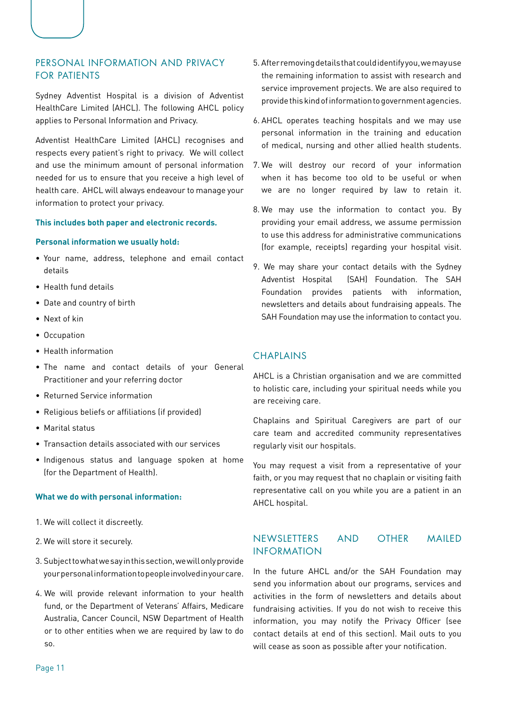### PERSONAL INFORMATION AND PRIVACY FOR PATIENTS

Sydney Adventist Hospital is a division of Adventist HealthCare Limited (AHCL). The following AHCL policy applies to Personal Information and Privacy.

Adventist HealthCare Limited (AHCL) recognises and respects every patient's right to privacy. We will collect and use the minimum amount of personal information needed for us to ensure that you receive a high level of health care. AHCL will always endeavour to manage your information to protect your privacy.

#### **This includes both paper and electronic records.**

#### **Personal information we usually hold:**

- Your name, address, telephone and email contact details
- Health fund details
- Date and country of birth
- Next of kin
- Occupation
- Health information
- The name and contact details of your General Practitioner and your referring doctor
- Returned Service information
- Religious beliefs or affiliations (if provided)
- Marital status
- Transaction details associated with our services
- Indigenous status and language spoken at home (for the Department of Health).

#### **What we do with personal information:**

- 1. We will collect it discreetly.
- 2. We will store it securely.
- 3. Subject to what we say in this section, we will only provide your personal information to people involved in your care.
- 4. We will provide relevant information to your health fund, or the Department of Veterans' Affairs, Medicare Australia, Cancer Council, NSW Department of Health or to other entities when we are required by law to do so.
- 5. After removing details that could identify you, we may use the remaining information to assist with research and service improvement projects. We are also required to provide this kind of information to government agencies.
- 6. AHCL operates teaching hospitals and we may use personal information in the training and education of medical, nursing and other allied health students.
- 7. We will destroy our record of your information when it has become too old to be useful or when we are no longer required by law to retain it.
- 8. We may use the information to contact you. By providing your email address, we assume permission to use this address for administrative communications (for example, receipts) regarding your hospital visit.
- 9. We may share your contact details with the Sydney Adventist Hospital (SAH) Foundation. The SAH Foundation provides patients with information, newsletters and details about fundraising appeals. The SAH Foundation may use the information to contact you.

### **CHAPLAINS**

AHCL is a Christian organisation and we are committed to holistic care, including your spiritual needs while you are receiving care.

Chaplains and Spiritual Caregivers are part of our care team and accredited community representatives regularly visit our hospitals.

You may request a visit from a representative of your faith, or you may request that no chaplain or visiting faith representative call on you while you are a patient in an AHCL hospital.

### NEWSLETTERS AND OTHER MAILED INFORMATION

In the future AHCL and/or the SAH Foundation may send you information about our programs, services and activities in the form of newsletters and details about fundraising activities. If you do not wish to receive this information, you may notify the Privacy Officer (see contact details at end of this section). Mail outs to you will cease as soon as possible after your notification.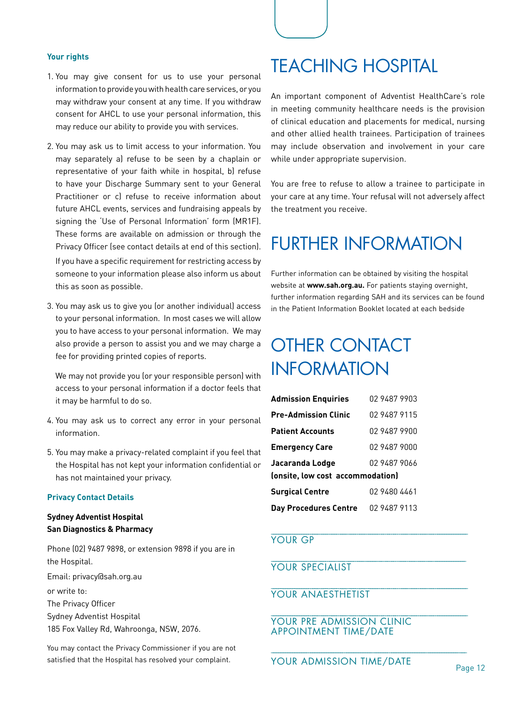

#### **Your rights**

- 1. You may give consent for us to use your personal information to provide you with health care services, or you may withdraw your consent at any time. If you withdraw consent for AHCL to use your personal information, this may reduce our ability to provide you with services.
- 2. You may ask us to limit access to your information. You may separately a) refuse to be seen by a chaplain or representative of your faith while in hospital, b) refuse to have your Discharge Summary sent to your General Practitioner or c) refuse to receive information about future AHCL events, services and fundraising appeals by signing the 'Use of Personal Information' form (MR1F). These forms are available on admission or through the Privacy Officer (see contact details at end of this section).

 If you have a specific requirement for restricting access by someone to your information please also inform us about this as soon as possible.

3. You may ask us to give you (or another individual) access to your personal information. In most cases we will allow you to have access to your personal information. We may also provide a person to assist you and we may charge a fee for providing printed copies of reports.

 We may not provide you (or your responsible person) with access to your personal information if a doctor feels that it may be harmful to do so.

- 4. You may ask us to correct any error in your personal information.
- 5. You may make a privacy-related complaint if you feel that the Hospital has not kept your information confidential or has not maintained your privacy.

#### **Privacy Contact Details**

### **Sydney Adventist Hospital San Diagnostics & Pharmacy**

Phone (02) 9487 9898, or extension 9898 if you are in the Hospital. Email: privacy@sah.org.au or write to: The Privacy Officer Sydney Adventist Hospital 185 Fox Valley Rd, Wahroonga, NSW, 2076.

You may contact the Privacy Commissioner if you are not satisfied that the Hospital has resolved your complaint.

### TEACHING HOSPITAL

An important component of Adventist HealthCare's role in meeting community healthcare needs is the provision of clinical education and placements for medical, nursing and other allied health trainees. Participation of trainees may include observation and involvement in your care while under appropriate supervision.

You are free to refuse to allow a trainee to participate in your care at any time. Your refusal will not adversely affect the treatment you receive.

### FURTHER INFORMATION

Further information can be obtained by visiting the hospital website at **www.sah.org.au.** For patients staying overnight, further information regarding SAH and its services can be found in the Patient Information Booklet located at each bedside

### OTHER CONTACT INFORMATION

| <b>Admission Enquiries</b>       | በ2 9487 99በ3 |  |  |  |
|----------------------------------|--------------|--|--|--|
| <b>Pre-Admission Clinic</b>      | 02 9487 9115 |  |  |  |
| <b>Patient Accounts</b>          | በ2 9487 99በበ |  |  |  |
| <b>Emergency Care</b>            | 02 9487 9000 |  |  |  |
| Jacaranda Lodge                  | በ2 9487 9በ66 |  |  |  |
| (onsite, low cost accommodation) |              |  |  |  |
| <b>Surgical Centre</b>           | 02 9480 4461 |  |  |  |
| <b>Day Procedures Centre</b>     | 02 9487 9113 |  |  |  |

\_\_\_\_\_\_\_\_\_\_\_\_\_\_\_\_\_\_\_\_\_\_ \_\_\_\_\_ \_\_\_\_\_ \_\_\_\_\_ \_\_\_\_\_ \_\_\_\_\_ \_\_\_\_\_ \_\_\_\_\_\_\_ \_\_\_ \_\_\_ \_\_\_ \_ \_\_\_\_\_ \_\_\_\_\_ \_\_\_\_\_ \_\_\_\_ \_\_\_\_\_\_\_\_\_\_\_\_\_\_\_\_\_\_

\_\_\_\_\_\_\_\_\_\_\_\_\_\_\_\_\_\_\_\_\_ \_\_\_\_\_ \_\_\_\_\_ \_\_\_\_\_ \_\_\_\_\_ \_\_\_\_\_ \_\_\_\_\_ \_\_\_\_\_\_\_ \_\_\_ \_\_\_ \_\_\_ \_ \_\_\_\_\_ \_\_\_\_\_ \_\_\_\_\_ \_\_\_\_ \_\_\_\_\_\_\_\_\_\_\_\_\_\_\_\_\_\_

 $\_$  ,  $\_$  ,  $\_$  ,  $\_$  ,  $\_$  ,  $\_$  ,  $\_$  ,  $\_$  ,  $\_$  ,  $\_$  ,  $\_$  ,  $\_$  ,  $\_$  ,  $\_$  ,  $\_$  ,  $\_$  ,  $\_$  ,  $\_$  ,  $\_$  ,  $\_$  ,  $\_$  ,  $\_$  ,  $\_$  ,  $\_$  ,  $\_$  ,  $\_$  ,  $\_$  ,  $\_$  ,  $\_$  ,  $\_$  ,  $\_$  ,  $\_$  ,  $\_$  ,  $\_$  ,  $\_$  ,  $\_$  ,  $\_$  ,

 $\_$  , and the set of the set of the set of the set of the set of the set of the set of the set of the set of the set of the set of the set of the set of the set of the set of the set of the set of the set of the set of th

\_\_\_\_\_\_\_\_\_\_\_\_\_\_\_\_\_\_\_\_\_ \_\_\_\_\_\_\_\_\_\_\_\_\_\_\_\_\_\_\_\_ \_\_\_\_\_\_\_\_\_\_\_\_\_\_\_\_ \_\_\_\_\_\_\_\_\_ \_\_\_\_\_\_\_\_\_\_\_\_\_\_\_\_\_\_\_\_\_ \_\_\_\_\_\_\_\_\_\_\_\_\_\_\_\_\_\_ \_\_\_\_

### YOUR GP

### YOUR SPECIALIST

YOUR ANAESTHETIST

#### YOUR PRE ADMISSION CLINIC APPOINTMENT TIME/DATE

YOUR ADMISSION TIME/DATE